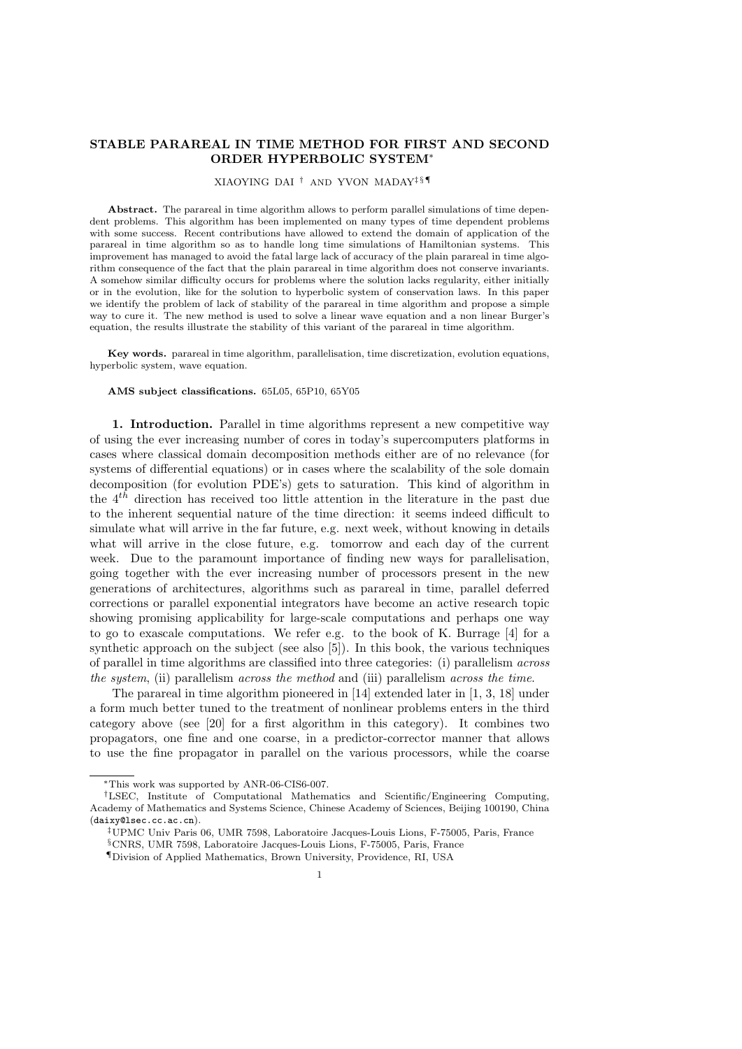# **STABLE PARAREAL IN TIME METHOD FOR FIRST AND SECOND ORDER HYPERBOLIC SYSTEM***<sup>∗</sup>*

#### XIAOYING DAI *†* AND YVON MADAY*‡ § ¶*

**Abstract.** The parareal in time algorithm allows to perform parallel simulations of time dependent problems. This algorithm has been implemented on many types of time dependent problems with some success. Recent contributions have allowed to extend the domain of application of the parareal in time algorithm so as to handle long time simulations of Hamiltonian systems. This improvement has managed to avoid the fatal large lack of accuracy of the plain parareal in time algorithm consequence of the fact that the plain parareal in time algorithm does not conserve invariants. A somehow similar difficulty occurs for problems where the solution lacks regularity, either initially or in the evolution, like for the solution to hyperbolic system of conservation laws. In this paper we identify the problem of lack of stability of the parareal in time algorithm and propose a simple way to cure it. The new method is used to solve a linear wave equation and a non linear Burger's equation, the results illustrate the stability of this variant of the parareal in time algorithm.

**Key words.** parareal in time algorithm, parallelisation, time discretization, evolution equations, hyperbolic system, wave equation.

#### **AMS subject classifications.** 65L05, 65P10, 65Y05

**1. Introduction.** Parallel in time algorithms represent a new competitive way of using the ever increasing number of cores in today's supercomputers platforms in cases where classical domain decomposition methods either are of no relevance (for systems of differential equations) or in cases where the scalability of the sole domain decomposition (for evolution PDE's) gets to saturation. This kind of algorithm in the 4*th* direction has received too little attention in the literature in the past due to the inherent sequential nature of the time direction: it seems indeed difficult to simulate what will arrive in the far future, e.g. next week, without knowing in details what will arrive in the close future, e.g. tomorrow and each day of the current week. Due to the paramount importance of finding new ways for parallelisation, going together with the ever increasing number of processors present in the new generations of architectures, algorithms such as parareal in time, parallel deferred corrections or parallel exponential integrators have become an active research topic showing promising applicability for large-scale computations and perhaps one way to go to exascale computations. We refer e.g. to the book of K. Burrage [4] for a synthetic approach on the subject (see also [5]). In this book, the various techniques of parallel in time algorithms are classified into three categories: (i) parallelism *across the system*, (ii) parallelism *across the method* and (iii) parallelism *across the time*.

The parareal in time algorithm pioneered in [14] extended later in [1, 3, 18] under a form much better tuned to the treatment of nonlinear problems enters in the third category above (see [20] for a first algorithm in this category). It combines two propagators, one fine and one coarse, in a predictor-corrector manner that allows to use the fine propagator in parallel on the various processors, while the coarse

*<sup>∗</sup>*This work was supported by ANR-06-CIS6-007.

*<sup>†</sup>*LSEC, Institute of Computational Mathematics and Scientific/Engineering Computing, Academy of Mathematics and Systems Science, Chinese Academy of Sciences, Beijing 100190, China (daixy@lsec.cc.ac.cn).

*<sup>‡</sup>*UPMC Univ Paris 06, UMR 7598, Laboratoire Jacques-Louis Lions, F-75005, Paris, France

*<sup>§</sup>*CNRS, UMR 7598, Laboratoire Jacques-Louis Lions, F-75005, Paris, France

*<sup>¶</sup>*Division of Applied Mathematics, Brown University, Providence, RI, USA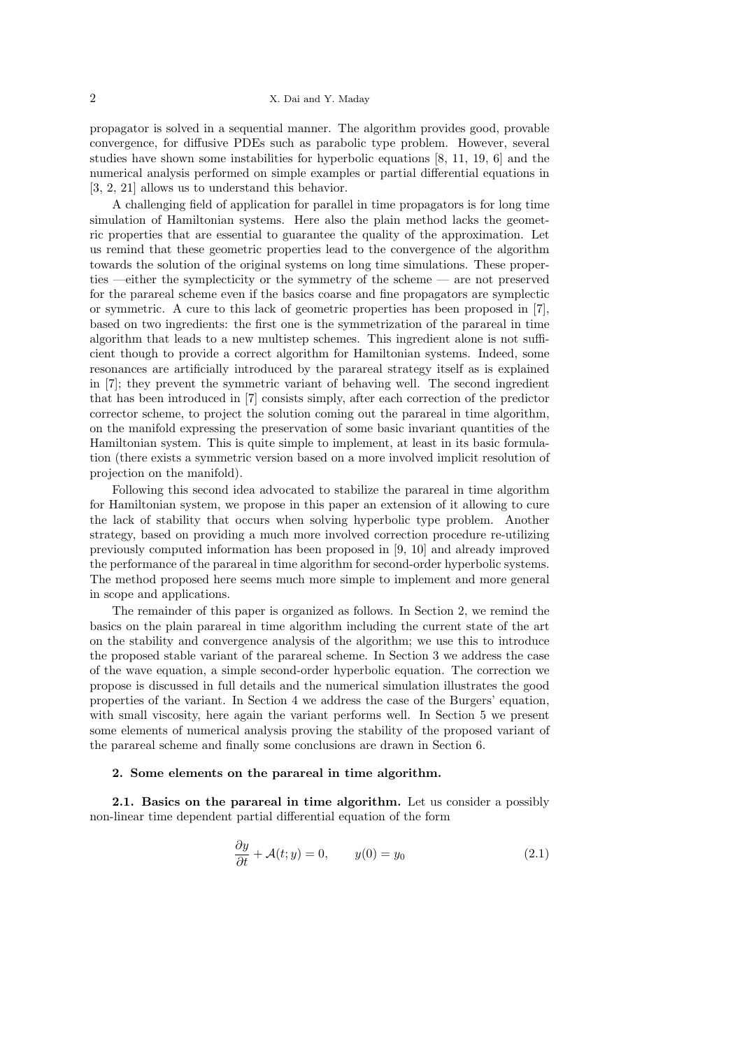propagator is solved in a sequential manner. The algorithm provides good, provable convergence, for diffusive PDEs such as parabolic type problem. However, several studies have shown some instabilities for hyperbolic equations [8, 11, 19, 6] and the numerical analysis performed on simple examples or partial differential equations in [3, 2, 21] allows us to understand this behavior.

A challenging field of application for parallel in time propagators is for long time simulation of Hamiltonian systems. Here also the plain method lacks the geometric properties that are essential to guarantee the quality of the approximation. Let us remind that these geometric properties lead to the convergence of the algorithm towards the solution of the original systems on long time simulations. These properties —either the symplecticity or the symmetry of the scheme — are not preserved for the parareal scheme even if the basics coarse and fine propagators are symplectic or symmetric. A cure to this lack of geometric properties has been proposed in [7], based on two ingredients: the first one is the symmetrization of the parareal in time algorithm that leads to a new multistep schemes. This ingredient alone is not sufficient though to provide a correct algorithm for Hamiltonian systems. Indeed, some resonances are artificially introduced by the parareal strategy itself as is explained in [7]; they prevent the symmetric variant of behaving well. The second ingredient that has been introduced in [7] consists simply, after each correction of the predictor corrector scheme, to project the solution coming out the parareal in time algorithm, on the manifold expressing the preservation of some basic invariant quantities of the Hamiltonian system. This is quite simple to implement, at least in its basic formulation (there exists a symmetric version based on a more involved implicit resolution of projection on the manifold).

Following this second idea advocated to stabilize the parareal in time algorithm for Hamiltonian system, we propose in this paper an extension of it allowing to cure the lack of stability that occurs when solving hyperbolic type problem. Another strategy, based on providing a much more involved correction procedure re-utilizing previously computed information has been proposed in [9, 10] and already improved the performance of the parareal in time algorithm for second-order hyperbolic systems. The method proposed here seems much more simple to implement and more general in scope and applications.

The remainder of this paper is organized as follows. In Section 2, we remind the basics on the plain parareal in time algorithm including the current state of the art on the stability and convergence analysis of the algorithm; we use this to introduce the proposed stable variant of the parareal scheme. In Section 3 we address the case of the wave equation, a simple second-order hyperbolic equation. The correction we propose is discussed in full details and the numerical simulation illustrates the good properties of the variant. In Section 4 we address the case of the Burgers' equation, with small viscosity, here again the variant performs well. In Section 5 we present some elements of numerical analysis proving the stability of the proposed variant of the parareal scheme and finally some conclusions are drawn in Section 6.

## **2. Some elements on the parareal in time algorithm.**

**2.1. Basics on the parareal in time algorithm.** Let us consider a possibly non-linear time dependent partial differential equation of the form

$$
\frac{\partial y}{\partial t} + \mathcal{A}(t; y) = 0, \qquad y(0) = y_0 \tag{2.1}
$$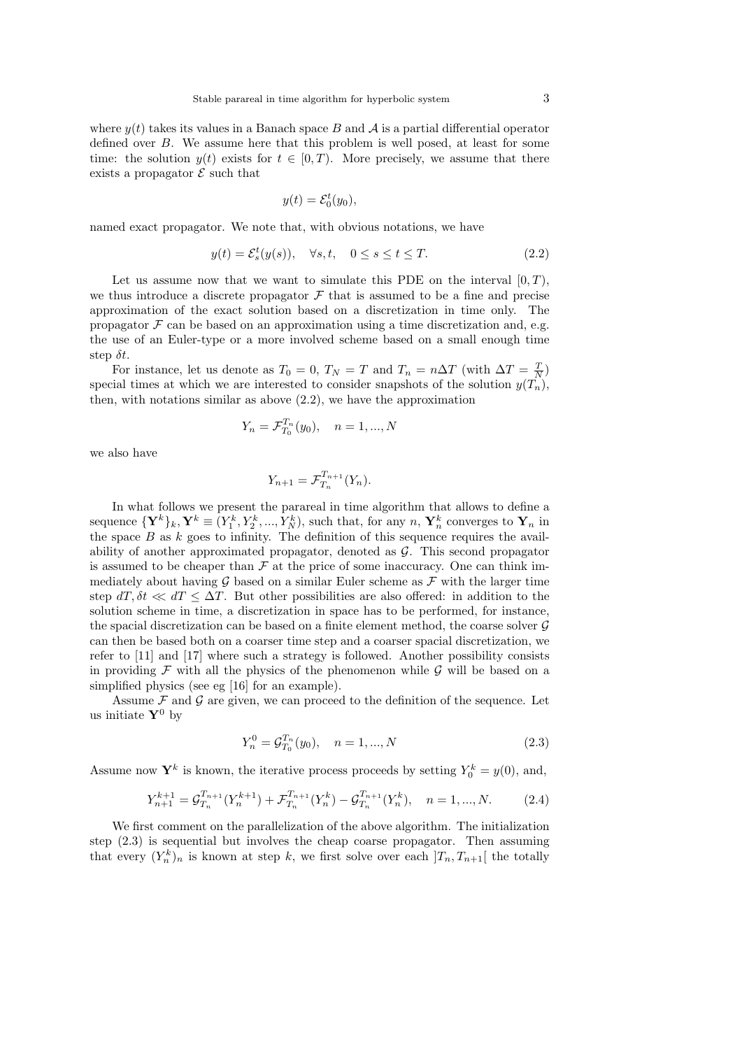where  $y(t)$  takes its values in a Banach space *B* and *A* is a partial differential operator defined over *B*. We assume here that this problem is well posed, at least for some time: the solution  $y(t)$  exists for  $t \in [0, T)$ . More precisely, we assume that there exists a propagator  $\mathcal E$  such that

$$
y(t) = \mathcal{E}_0^t(y_0),
$$

named exact propagator. We note that, with obvious notations, we have

$$
y(t) = \mathcal{E}_s^t(y(s)), \quad \forall s, t, \quad 0 \le s \le t \le T. \tag{2.2}
$$

Let us assume now that we want to simulate this PDE on the interval  $[0, T)$ , we thus introduce a discrete propagator  $\mathcal F$  that is assumed to be a fine and precise approximation of the exact solution based on a discretization in time only. The propagator  $\mathcal F$  can be based on an approximation using a time discretization and, e.g. the use of an Euler-type or a more involved scheme based on a small enough time step *δt*.

For instance, let us denote as  $T_0 = 0$ ,  $T_N = T$  and  $T_n = n\Delta T$  (with  $\Delta T = \frac{T}{N}$ ) special times at which we are interested to consider snapshots of the solution  $y(T_n)$ . then, with notations similar as above (2.2), we have the approximation

$$
Y_n = \mathcal{F}_{T_0}^{T_n}(y_0), \quad n = 1, ..., N
$$

we also have

$$
Y_{n+1} = \mathcal{F}_{T_n}^{T_{n+1}}(Y_n).
$$

In what follows we present the parareal in time algorithm that allows to define a sequence  ${\{\mathbf Y^k\}_k, \mathbf Y^k \equiv (Y_1^k, Y_2^k, ..., Y_N^k)$ , such that, for any  $n, Y_n^k$  converges to  $\mathbf Y_n$  in the space  $B$  as  $k$  goes to infinity. The definition of this sequence requires the availability of another approximated propagator, denoted as *G*. This second propagator is assumed to be cheaper than  $\mathcal F$  at the price of some inaccuracy. One can think immediately about having  $\mathcal G$  based on a similar Euler scheme as  $\mathcal F$  with the larger time step  $dT, \delta t \ll dT \leq \Delta T$ . But other possibilities are also offered: in addition to the solution scheme in time, a discretization in space has to be performed, for instance, the spacial discretization can be based on a finite element method, the coarse solver *G* can then be based both on a coarser time step and a coarser spacial discretization, we refer to [11] and [17] where such a strategy is followed. Another possibility consists in providing  $\mathcal F$  with all the physics of the phenomenon while  $\mathcal G$  will be based on a simplified physics (see eg [16] for an example).

Assume  $F$  and  $G$  are given, we can proceed to the definition of the sequence. Let us initiate  $\mathbf{Y}^0$  by

$$
Y_n^0 = \mathcal{G}_{T_0}^{T_n}(y_0), \quad n = 1, ..., N
$$
\n(2.3)

Assume now  $\mathbf{Y}^k$  is known, the iterative process proceeds by setting  $Y_0^k = y(0)$ , and,

$$
Y_{n+1}^{k+1} = \mathcal{G}_{T_n}^{T_{n+1}}(Y_n^{k+1}) + \mathcal{F}_{T_n}^{T_{n+1}}(Y_n^k) - \mathcal{G}_{T_n}^{T_{n+1}}(Y_n^k), \quad n = 1, ..., N. \tag{2.4}
$$

We first comment on the parallelization of the above algorithm. The initialization step (2.3) is sequential but involves the cheap coarse propagator. Then assuming that every  $(Y_n^k)_n$  is known at step *k*, we first solve over each  $]T_n, T_{n+1}[$  the totally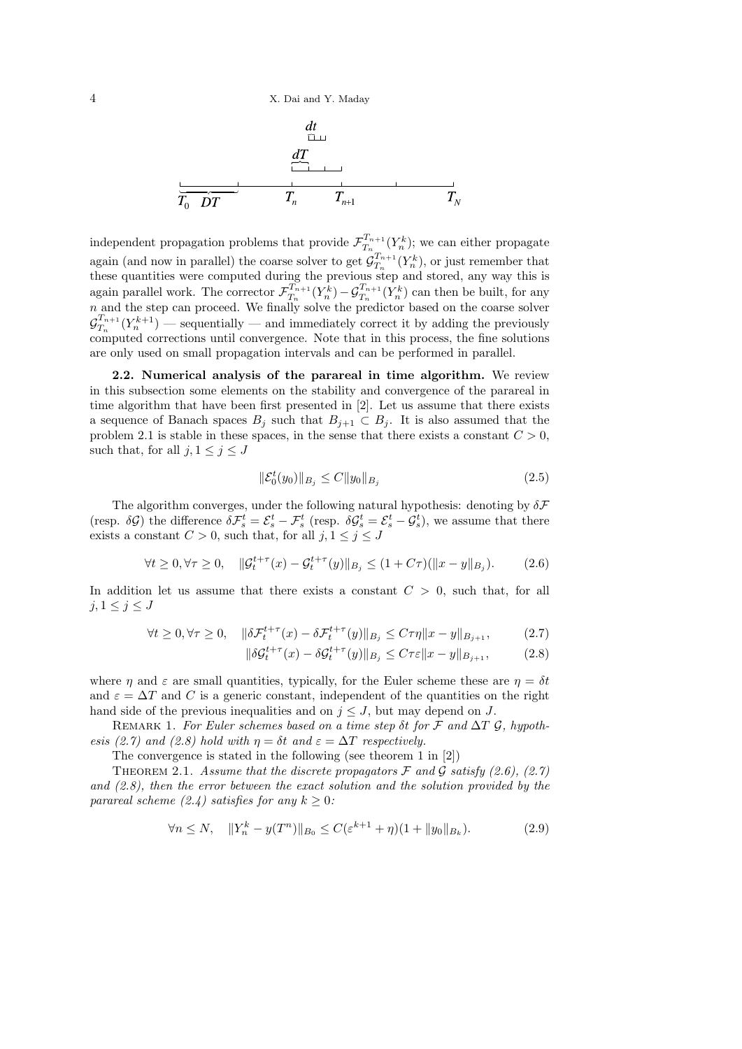$$
\begin{array}{c}\n\frac{dt}{dT} \\
\frac{dT}{T_0 \quad DT} \\
\frac{1}{T_n \quad T_{n+1}} \\
\frac{1}{T_{n+1}} \\
\frac{1}{T_{n+1}} \\
\frac{1}{T_{n+1}} \\
\frac{1}{T_{n+1}} \\
\frac{1}{T_{n+1}} \\
\frac{1}{T_{n+1}} \\
\frac{1}{T_{n+1}} \\
\frac{1}{T_{n+1}} \\
\frac{1}{T_{n+1}} \\
\frac{1}{T_{n+1}} \\
\frac{1}{T_{n+1}} \\
\frac{1}{T_{n+1}} \\
\frac{1}{T_{n+1}} \\
\frac{1}{T_{n+1}} \\
\frac{1}{T_{n+1}} \\
\frac{1}{T_{n+1}} \\
\frac{1}{T_{n+1}} \\
\frac{1}{T_{n+1}} \\
\frac{1}{T_{n+1}} \\
\frac{1}{T_{n+1}} \\
\frac{1}{T_{n+1}} \\
\frac{1}{T_{n+1}} \\
\frac{1}{T_{n+1}} \\
\frac{1}{T_{n+1}} \\
\frac{1}{T_{n+1}} \\
\frac{1}{T_{n+1}} \\
\frac{1}{T_{n+1}} \\
\frac{1}{T_{n+1}} \\
\frac{1}{T_{n+1}} \\
\frac{1}{T_{n+1}} \\
\frac{1}{T_{n+1}} \\
\frac{1}{T_{n+1}} \\
\frac{1}{T_{n+1}} \\
\frac{1}{T_{n+1}} \\
\frac{1}{T_{n+1}} \\
\frac{1}{T_{n+1}} \\
\frac{1}{T_{n+1}} \\
\frac{1}{T_{n+1}} \\
\frac{1}{T_{n+1}} \\
\frac{1}{T_{n+1}} \\
\frac{1}{T_{n+1}} \\
\frac{1}{T_{n+1}} \\
\frac{1}{T_{n+1}} \\
\frac{1}{T_{n+1}} \\
\frac{1}{T_{n+1}} \\
\frac{1}{T_{n+1}} \\
\frac{1}{T_{n+1}} \\
\frac{1}{T_{n+1}} \\
\frac{1}{T_{n+1}} \\
\frac{1}{T_{n+1}} \\
\frac{1}{T_{n+1}} \\
\frac{1}{T_{n+1}} \\
\frac{1}{T_{n+1}} \\
\frac{1}{T_{n+1}} \\
\frac{1}{T_{n+1}} \\
\frac{1}{T_{n+1}} \\
\frac{1}{T_{n+1}} \\
\frac{1}{T_{n+1}} \\
\frac{1}{T_{n+1}} \\
\frac{1}{T_{
$$

independent propagation problems that provide  $\mathcal{F}_{T_n}^{T_{n+1}}$  $T_n^{T_{n+1}}(Y_n^k)$ ; we can either propagate again (and now in parallel) the coarse solver to get  $\mathcal{G}_{T_n}^{T_{n+1}}$  $T_n^{T_{n+1}}(Y_n^k)$ , or just remember that these quantities were computed during the previous step and stored, any way this is again parallel work. The corrector  $\mathcal{F}_{T_n}^{T_{n+1}}$  $\frac{T_{n+1}}{T_n}(Y_n^k) - \mathcal{G}_{T_n}^{T_{n+1}}(Y_n^k)$  can then be built, for any *n* and the step can proceed. We finally solve the predictor based on the coarse solver  $\mathcal{G}^{T_{n+1}}_{T_{n}}$  $T_{n}^{T_{n+1}}(Y_n^{k+1})$  — sequentially — and immediately correct it by adding the previously computed corrections until convergence. Note that in this process, the fine solutions are only used on small propagation intervals and can be performed in parallel.

**2.2. Numerical analysis of the parareal in time algorithm.** We review in this subsection some elements on the stability and convergence of the parareal in time algorithm that have been first presented in [2]. Let us assume that there exists a sequence of Banach spaces  $B_j$  such that  $B_{j+1} \subset B_j$ . It is also assumed that the problem 2.1 is stable in these spaces, in the sense that there exists a constant  $C > 0$ . such that, for all  $j, 1 \leq j \leq J$ 

$$
\|\mathcal{E}_0^t(y_0)\|_{B_j} \le C \|y_0\|_{B_j} \tag{2.5}
$$

The algorithm converges, under the following natural hypothesis: denoting by *δF* (resp.  $\delta \mathcal{G}$ ) the difference  $\delta \mathcal{F}_s^t = \mathcal{E}_s^t - \mathcal{F}_s^t$  (resp.  $\delta \mathcal{G}_s^t = \mathcal{E}_s^t - \mathcal{G}_s^t$ ), we assume that there exists a constant  $C > 0$ , such that, for all  $j, 1 \leq j \leq J$ 

$$
\forall t \ge 0, \forall \tau \ge 0, \quad \|\mathcal{G}_t^{t+\tau}(x) - \mathcal{G}_t^{t+\tau}(y)\|_{B_j} \le (1 + C\tau)(\|x - y\|_{B_j}).\tag{2.6}
$$

In addition let us assume that there exists a constant *C >* 0, such that, for all  $j, 1 \leq j \leq J$ 

$$
\forall t \ge 0, \forall \tau \ge 0, \quad \|\delta \mathcal{F}_t^{t+\tau}(x) - \delta \mathcal{F}_t^{t+\tau}(y)\|_{B_j} \le C\tau \eta \|x - y\|_{B_{j+1}},\tag{2.7}
$$

$$
\|\delta \mathcal{G}_t^{t+\tau}(x) - \delta \mathcal{G}_t^{t+\tau}(y)\|_{B_j} \le C\tau \varepsilon \|x - y\|_{B_{j+1}},\tag{2.8}
$$

where *η* and  $\varepsilon$  are small quantities, typically, for the Euler scheme these are  $\eta = \delta t$ and  $\varepsilon = \Delta T$  and *C* is a generic constant, independent of the quantities on the right hand side of the previous inequalities and on  $j \leq J$ , but may depend on *J*.

REMARK 1. For Euler schemes based on a time step  $\delta t$  for  $\mathcal F$  and  $\Delta T$   $\mathcal G$ , hypoth*esis (2.7) and (2.8) hold with*  $\eta = \delta t$  *and*  $\varepsilon = \Delta T$  *respectively.* 

The convergence is stated in the following (see theorem 1 in [2])

THEOREM 2.1. *Assume that the discrete propagators*  $\mathcal F$  *and*  $\mathcal G$  *satisfy* (2.6), (2.7) *and (2.8), then the error between the exact solution and the solution provided by the parareal scheme (2.4) satisfies for any*  $k \geq 0$ :

$$
\forall n \le N, \quad \|Y_n^k - y(T^n)\|_{B_0} \le C(\varepsilon^{k+1} + \eta)(1 + \|y_0\|_{B_k}).\tag{2.9}
$$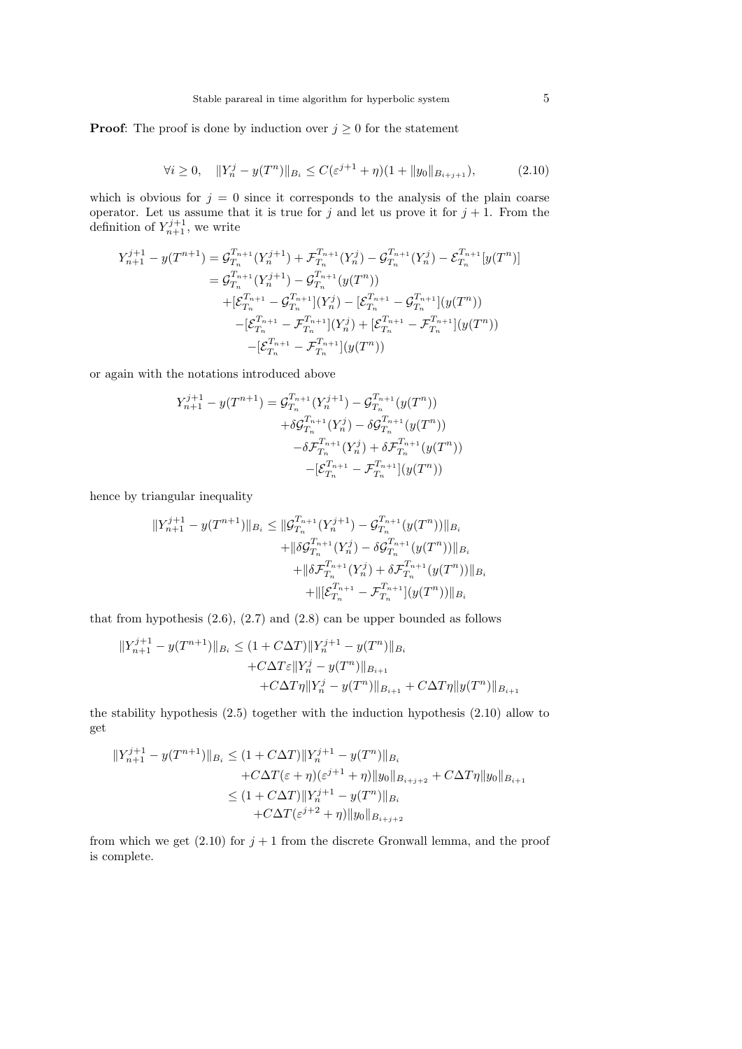**Proof:** The proof is done by induction over  $j \geq 0$  for the statement

$$
\forall i \ge 0, \quad \|Y_n^j - y(T^n)\|_{B_i} \le C(\varepsilon^{j+1} + \eta)(1 + \|y_0\|_{B_{i+j+1}}),\tag{2.10}
$$

which is obvious for  $j = 0$  since it corresponds to the analysis of the plain coarse operator. Let us assume that it is true for  $j$  and let us prove it for  $j + 1$ . From the definition of  $Y_{n+1}^{j+1}$ , we write

$$
Y_{n+1}^{j+1} - y(T^{n+1}) = \mathcal{G}_{T_n}^{T_{n+1}}(Y_n^{j+1}) + \mathcal{F}_{T_n}^{T_{n+1}}(Y_n^j) - \mathcal{G}_{T_n}^{T_{n+1}}(Y_n^j) - \mathcal{E}_{T_n}^{T_{n+1}}[y(T^n)]
$$
  
\n
$$
= \mathcal{G}_{T_n}^{T_{n+1}}(Y_n^{j+1}) - \mathcal{G}_{T_n}^{T_{n+1}}(y(T^n))
$$
  
\n
$$
+ [\mathcal{E}_{T_n}^{T_{n+1}} - \mathcal{G}_{T_n}^{T_{n+1}}](Y_n^j) - [\mathcal{E}_{T_n}^{T_{n+1}} - \mathcal{G}_{T_n}^{T_{n+1}}](y(T^n))
$$
  
\n
$$
- [\mathcal{E}_{T_n}^{T_{n+1}} - \mathcal{F}_{T_n}^{T_{n+1}}](Y_n^j) + [\mathcal{E}_{T_n}^{T_{n+1}} - \mathcal{F}_{T_n}^{T_{n+1}}](y(T^n))
$$
  
\n
$$
- [\mathcal{E}_{T_n}^{T_{n+1}} - \mathcal{F}_{T_n}^{T_{n+1}}](y(T^n))
$$

or again with the notations introduced above

$$
Y_{n+1}^{j+1} - y(T^{n+1}) = \mathcal{G}_{T_n}^{T_{n+1}}(Y_n^{j+1}) - \mathcal{G}_{T_n}^{T_{n+1}}(y(T^n))
$$
  
+  $\delta \mathcal{G}_{T_n}^{T_{n+1}}(Y_n^j) - \delta \mathcal{G}_{T_n}^{T_{n+1}}(y(T^n))$   
-  $\delta \mathcal{F}_{T_n}^{T_{n+1}}(Y_n^j) + \delta \mathcal{F}_{T_n}^{T_{n+1}}(y(T^n))$   
-  $[\mathcal{E}_{T_n}^{T_{n+1}} - \mathcal{F}_{T_n}^{T_{n+1}}](y(T^n))$ 

hence by triangular inequality

$$
||Y_{n+1}^{j+1} - y(T^{n+1})||_{B_i} \le ||G_{T_n}^{T_{n+1}}(Y_n^{j+1}) - G_{T_n}^{T_{n+1}}(y(T^n))||_{B_i}
$$
  
 
$$
+ ||\delta G_{T_n}^{T_{n+1}}(Y_n^j) - \delta G_{T_n}^{T_{n+1}}(y(T^n))||_{B_i}
$$
  
 
$$
+ ||\delta \mathcal{F}_{T_n}^{T_{n+1}}(Y_n^j) + \delta \mathcal{F}_{T_n}^{T_{n+1}}(y(T^n))||_{B_i}
$$
  
 
$$
+ ||[\mathcal{E}_{T_n}^{T_{n+1}} - \mathcal{F}_{T_n}^{T_{n+1}}](y(T^n))||_{B_i}
$$

that from hypothesis  $(2.6)$ ,  $(2.7)$  and  $(2.8)$  can be upper bounded as follows

$$
||Y_{n+1}^{j+1} - y(T^{n+1})||_{B_i} \le (1 + C\Delta T)||Y_n^{j+1} - y(T^n)||_{B_i}
$$
  
+  $C\Delta T\varepsilon||Y_n^j - y(T^n)||_{B_{i+1}}$   
+  $C\Delta T\eta||Y_n^j - y(T^n)||_{B_{i+1}} + C\Delta T\eta||y(T^n)||_{B_{i+1}}$ 

the stability hypothesis (2.5) together with the induction hypothesis (2.10) allow to get

$$
||Y_{n+1}^{j+1} - y(T^{n+1})||_{B_i} \le (1 + C\Delta T)||Y_n^{j+1} - y(T^n)||_{B_i}
$$
  
+  $C\Delta T(\varepsilon + \eta)(\varepsilon^{j+1} + \eta)||y_0||_{B_{i+j+2}} + C\Delta T\eta||y_0||_{B_{i+1}}$   
 $\le (1 + C\Delta T)||Y_n^{j+1} - y(T^n)||_{B_i}$   
+  $C\Delta T(\varepsilon^{j+2} + \eta)||y_0||_{B_{i+j+2}}$ 

from which we get  $(2.10)$  for  $j + 1$  from the discrete Gronwall lemma, and the proof is complete.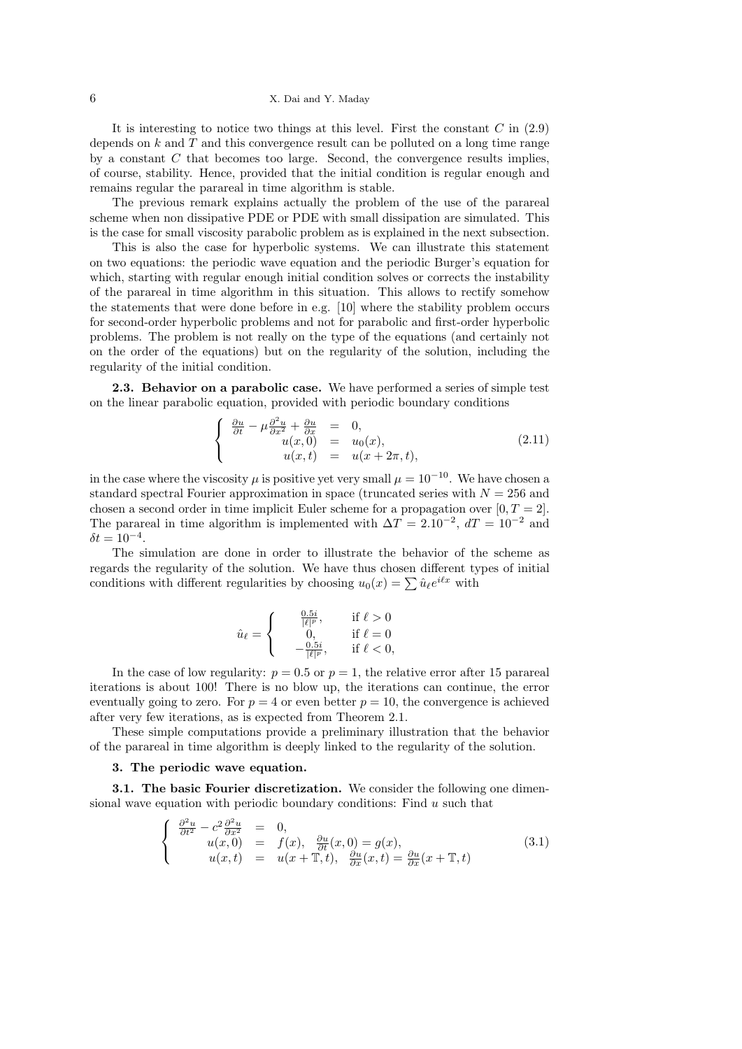## 6 X. Dai and Y. Maday

It is interesting to notice two things at this level. First the constant *C* in (2.9) depends on *k* and *T* and this convergence result can be polluted on a long time range by a constant *C* that becomes too large. Second, the convergence results implies, of course, stability. Hence, provided that the initial condition is regular enough and remains regular the parareal in time algorithm is stable.

The previous remark explains actually the problem of the use of the parareal scheme when non dissipative PDE or PDE with small dissipation are simulated. This is the case for small viscosity parabolic problem as is explained in the next subsection.

This is also the case for hyperbolic systems. We can illustrate this statement on two equations: the periodic wave equation and the periodic Burger's equation for which, starting with regular enough initial condition solves or corrects the instability of the parareal in time algorithm in this situation. This allows to rectify somehow the statements that were done before in e.g. [10] where the stability problem occurs for second-order hyperbolic problems and not for parabolic and first-order hyperbolic problems. The problem is not really on the type of the equations (and certainly not on the order of the equations) but on the regularity of the solution, including the regularity of the initial condition.

**2.3. Behavior on a parabolic case.** We have performed a series of simple test on the linear parabolic equation, provided with periodic boundary conditions

$$
\begin{cases}\n\frac{\partial u}{\partial t} - \mu \frac{\partial^2 u}{\partial x^2} + \frac{\partial u}{\partial x} & = 0, \\
u(x, 0) & = u_0(x), \\
u(x, t) & = u(x + 2\pi, t),\n\end{cases}
$$
\n(2.11)

in the case where the viscosity  $\mu$  is positive yet very small  $\mu = 10^{-10}$ . We have chosen a standard spectral Fourier approximation in space (truncated series with  $N = 256$  and chosen a second order in time implicit Euler scheme for a propagation over  $[0, T = 2]$ . The parareal in time algorithm is implemented with  $\Delta T = 2.10^{-2}$ ,  $dT = 10^{-2}$  and  $\delta t = 10^{-4}$ .

The simulation are done in order to illustrate the behavior of the scheme as regards the regularity of the solution. We have thus chosen different types of initial conditions with different regularities by choosing  $u_0(x) = \sum \hat{u}_\ell e^{i\ell x}$  with

$$
\hat{u}_{\ell} = \begin{cases}\n\frac{0.5i}{|\ell|^p}, & \text{if } \ell > 0 \\
0, & \text{if } \ell = 0 \\
-\frac{0.5i}{|\ell|^p}, & \text{if } \ell < 0,\n\end{cases}
$$

In the case of low regularity:  $p = 0.5$  or  $p = 1$ , the relative error after 15 parareal iterations is about 100! There is no blow up, the iterations can continue, the error eventually going to zero. For  $p = 4$  or even better  $p = 10$ , the convergence is achieved after very few iterations, as is expected from Theorem 2.1.

These simple computations provide a preliminary illustration that the behavior of the parareal in time algorithm is deeply linked to the regularity of the solution.

## **3. The periodic wave equation.**

**3.1. The basic Fourier discretization.** We consider the following one dimensional wave equation with periodic boundary conditions: Find *u* such that

$$
\begin{cases}\n\frac{\partial^2 u}{\partial t^2} - c^2 \frac{\partial^2 u}{\partial x^2} = 0, \nu(x, 0) = f(x), \frac{\partial u}{\partial t}(x, 0) = g(x), \nu(x, t) = u(x + \mathbb{T}, t), \frac{\partial u}{\partial x}(x, t) = \frac{\partial u}{\partial x}(x + \mathbb{T}, t)\n\end{cases}
$$
\n(3.1)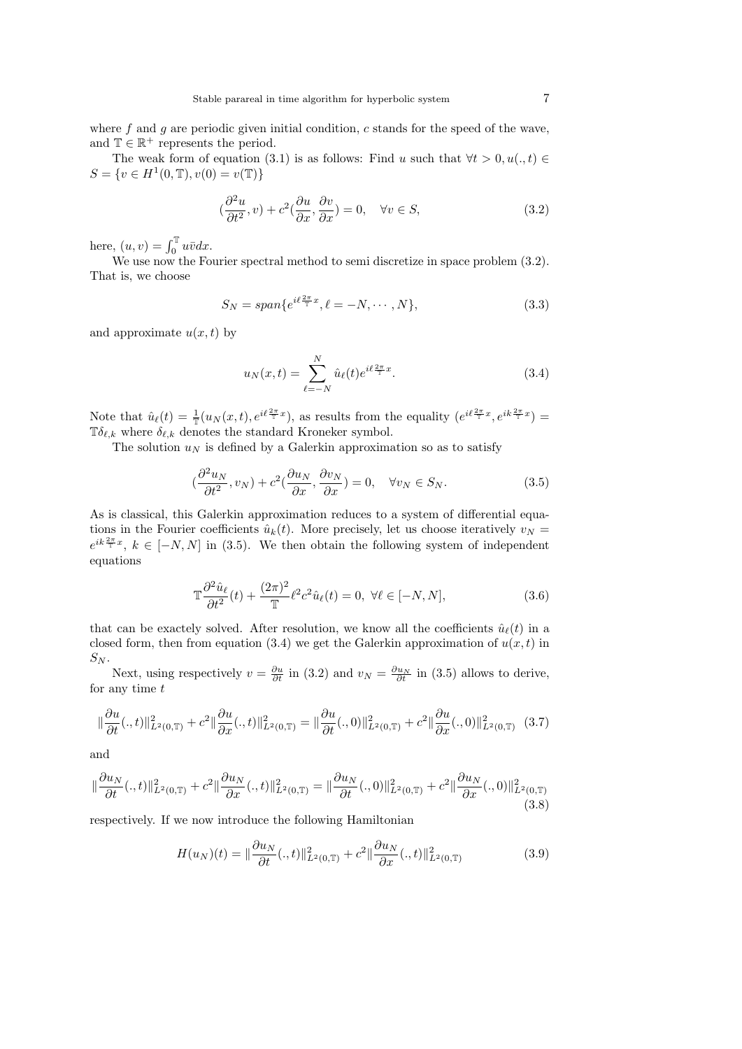where f and g are periodic given initial condition, c stands for the speed of the wave, and  $\mathbb{T} \in \mathbb{R}^+$  represents the period.

The weak form of equation (3.1) is as follows: Find *u* such that  $\forall t > 0, u(., t) \in$  $S = \{v \in H^1(0, \mathbb{T}), v(0) = v(\mathbb{T})\}$ 

$$
(\frac{\partial^2 u}{\partial t^2}, v) + c^2(\frac{\partial u}{\partial x}, \frac{\partial v}{\partial x}) = 0, \quad \forall v \in S,
$$
\n(3.2)

here,  $(u, v) = \int_0^{\mathbb{T}} u \bar{v} dx$ .

We use now the Fourier spectral method to semi discretize in space problem  $(3.2)$ . That is, we choose

$$
S_N = span\{e^{i\ell\frac{2\pi}{\mathbb{T}}x}, \ell = -N, \cdots, N\},\tag{3.3}
$$

and approximate  $u(x, t)$  by

$$
u_N(x,t) = \sum_{\ell=-N}^{N} \hat{u}_{\ell}(t) e^{i\ell \frac{2\pi}{T}x}.
$$
 (3.4)

Note that  $\hat{u}_{\ell}(t) = \frac{1}{\pi} (u_N(x,t), e^{i\ell \frac{2\pi}{\pi}x})$ , as results from the equality  $(e^{i\ell \frac{2\pi}{\pi}x}, e^{i\ell \frac{2\pi}{\pi}x})$ T $\delta_{\ell,k}$  where  $\delta_{\ell,k}$  denotes the standard Kroneker symbol.

The solution  $u_N$  is defined by a Galerkin approximation so as to satisfy

$$
\left(\frac{\partial^2 u_N}{\partial t^2}, v_N\right) + c^2 \left(\frac{\partial u_N}{\partial x}, \frac{\partial v_N}{\partial x}\right) = 0, \quad \forall v_N \in S_N.
$$
\n(3.5)

As is classical, this Galerkin approximation reduces to a system of differential equations in the Fourier coefficients  $\hat{u}_k(t)$ . More precisely, let us choose iteratively  $v_N =$  $e^{ik\frac{2\pi}{\tau}x}$ ,  $k \in [-N, N]$  in (3.5). We then obtain the following system of independent equations

$$
\mathbb{T}\frac{\partial^2 \hat{u}_{\ell}}{\partial t^2}(t) + \frac{(2\pi)^2}{\mathbb{T}} \ell^2 c^2 \hat{u}_{\ell}(t) = 0, \ \forall \ell \in [-N, N],\tag{3.6}
$$

that can be exactely solved. After resolution, we know all the coefficients  $\hat{u}_\ell(t)$  in a closed form, then from equation (3.4) we get the Galerkin approximation of  $u(x, t)$  in  $S_N$ .

Next, using respectively  $v = \frac{\partial u}{\partial t}$  in (3.2) and  $v_N = \frac{\partial u_N}{\partial t}$  in (3.5) allows to derive, for any time *t*

$$
\|\frac{\partial u}{\partial t}(.,t)\|_{L^{2}(0,T)}^{2}+c^{2}\|\frac{\partial u}{\partial x}(.,t)\|_{L^{2}(0,T)}^{2}=\|\frac{\partial u}{\partial t}(.,0)\|_{L^{2}(0,T)}^{2}+c^{2}\|\frac{\partial u}{\partial x}(.,0)\|_{L^{2}(0,T)}^{2}\quad(3.7)
$$

and

$$
\|\frac{\partial u_N}{\partial t}(:,t)\|_{L^2(0,\mathbb{T})}^2 + c^2 \|\frac{\partial u_N}{\partial x}(:,t)\|_{L^2(0,\mathbb{T})}^2 = \|\frac{\partial u_N}{\partial t}(:,0)\|_{L^2(0,\mathbb{T})}^2 + c^2 \|\frac{\partial u_N}{\partial x}(:,0)\|_{L^2(0,\mathbb{T})}^2
$$
(3.8)

respectively. If we now introduce the following Hamiltonian

$$
H(u_N)(t) = \|\frac{\partial u_N}{\partial t}(.,t)\|_{L^2(0,T)}^2 + c^2 \|\frac{\partial u_N}{\partial x}(.,t)\|_{L^2(0,T)}^2
$$
(3.9)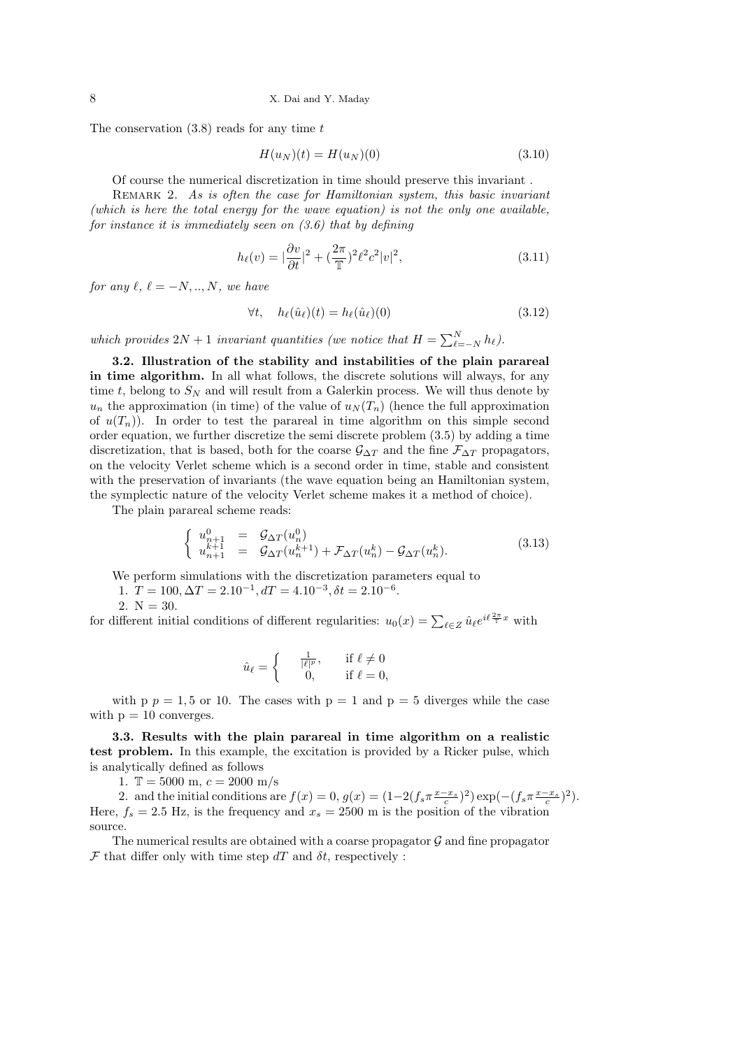The conservation (3.8) reads for any time *t*

$$
H(u_N)(t) = H(u_N)(0)
$$
\n(3.10)

Of course the numerical discretization in time should preserve this invariant .

REMARK 2. As is often the case for Hamiltonian system, this basic invariant *(which is here the total energy for the wave equation) is not the only one available, for instance it is immediately seen on (3.6) that by defining*

$$
h_{\ell}(v) = |\frac{\partial v}{\partial t}|^2 + (\frac{2\pi}{\mathbb{T}})^2 \ell^2 c^2 |v|^2,
$$
\n(3.11)

*for any*  $\ell, \ell = -N, ..., N$ *, we have* 

$$
\forall t, \quad h_{\ell}(\hat{u}_{\ell})(t) = h_{\ell}(\hat{u}_{\ell})(0) \tag{3.12}
$$

*which provides*  $2N + 1$  *invariant quantities (we notice that*  $H = \sum_{\ell=-N}^{N} h_{\ell}$ ).

**3.2. Illustration of the stability and instabilities of the plain parareal in time algorithm.** In all what follows, the discrete solutions will always, for any time *t*, belong to  $S_N$  and will result from a Galerkin process. We will thus denote by  $u_n$  the approximation (in time) of the value of  $u_N(T_n)$  (hence the full approximation of  $u(T_n)$ ). In order to test the parareal in time algorithm on this simple second order equation, we further discretize the semi discrete problem (3.5) by adding a time discretization, that is based, both for the coarse  $\mathcal{G}_{\Delta T}$  and the fine  $\mathcal{F}_{\Delta T}$  propagators, on the velocity Verlet scheme which is a second order in time, stable and consistent with the preservation of invariants (the wave equation being an Hamiltonian system, the symplectic nature of the velocity Verlet scheme makes it a method of choice).

The plain parareal scheme reads:

$$
\begin{cases}\nu_{n+1}^{0} = \mathcal{G}_{\Delta T}(u_n^0) \\
u_{n+1}^{k+1} = \mathcal{G}_{\Delta T}(u_n^{k+1}) + \mathcal{F}_{\Delta T}(u_n^k) - \mathcal{G}_{\Delta T}(u_n^k).\n\end{cases} (3.13)
$$

We perform simulations with the discretization parameters equal to

1.  $T = 100, \Delta T = 2.10^{-1}, dT = 4.10^{-3}, \delta t = 2.10^{-6}.$ 

2.  $N = 30$ .

for different initial conditions of different regularities:  $u_0(x) = \sum_{\ell \in Z} \hat{u}_{\ell} e^{i\ell \frac{2\pi}{T}x}$  with

$$
\hat{u}_{\ell} = \begin{cases}\n\frac{1}{|\ell|^p}, & \text{if } \ell \neq 0 \\
0, & \text{if } \ell = 0,\n\end{cases}
$$

with  $p = 1, 5$  or 10. The cases with  $p = 1$  and  $p = 5$  diverges while the case with  $p = 10$  converges.

**3.3. Results with the plain parareal in time algorithm on a realistic test problem.** In this example, the excitation is provided by a Ricker pulse, which is analytically defined as follows

1.  $\mathbb{T} = 5000$  m,  $c = 2000$  m/s

2. and the initial conditions are  $f(x) = 0$ ,  $g(x) = (1 - 2(f_s \pi \frac{x - x_s}{c})^2) \exp(-(f_s \pi \frac{x - x_s}{c})^2)$ . Here,  $f_s = 2.5$  Hz, is the frequency and  $x_s = 2500$  m is the position of the vibration source.

The numerical results are obtained with a coarse propagator  $\mathcal G$  and fine propagator  $\mathcal F$  that differ only with time step  $dT$  and  $\delta t$ , respectively :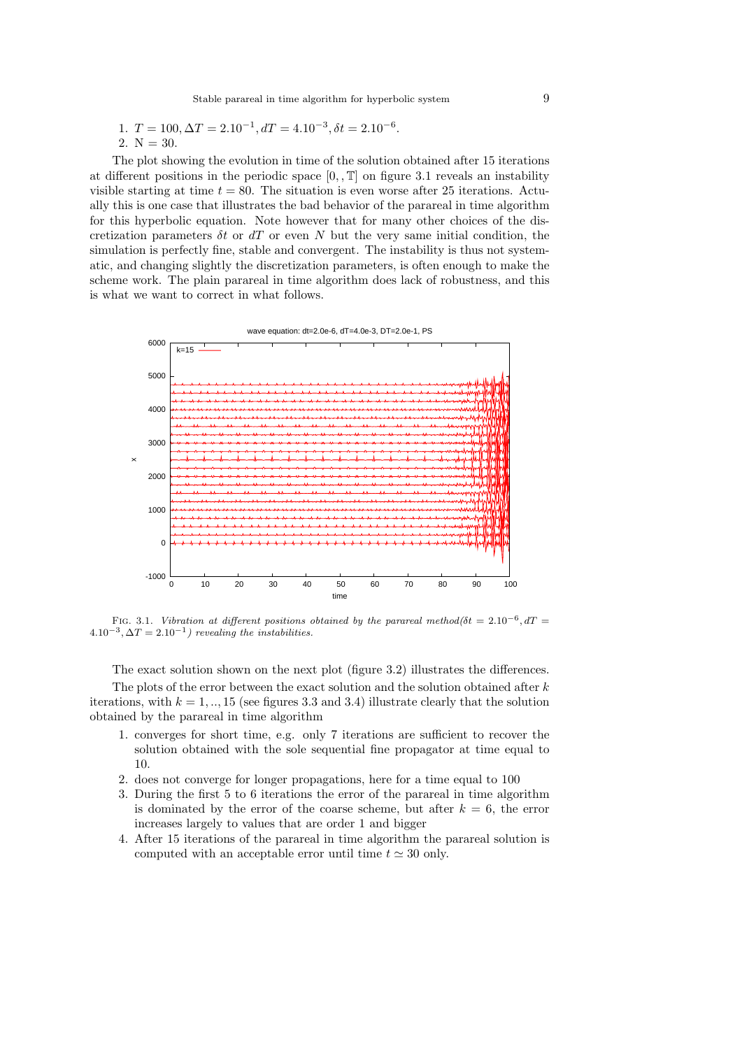1. 
$$
T = 100, \Delta T = 2.10^{-1}, dT = 4.10^{-3}, \delta t = 2.10^{-6}.
$$
  
2. N = 30.

The plot showing the evolution in time of the solution obtained after 15 iterations at different positions in the periodic space  $[0, 1]$  on figure 3.1 reveals an instability visible starting at time  $t = 80$ . The situation is even worse after 25 iterations. Actually this is one case that illustrates the bad behavior of the parareal in time algorithm for this hyperbolic equation. Note however that for many other choices of the discretization parameters *δt* or *dT* or even *N* but the very same initial condition, the simulation is perfectly fine, stable and convergent. The instability is thus not systematic, and changing slightly the discretization parameters, is often enough to make the scheme work. The plain parareal in time algorithm does lack of robustness, and this is what we want to correct in what follows.



FIG. 3.1. *Vibration at different positions obtained by the parareal method(* $\delta t = 2.10^{-6}$ *,*  $dT =$  $4.10^{-3}, \Delta T = 2.10^{-1}$ ) revealing the instabilities.

The exact solution shown on the next plot (figure 3.2) illustrates the differences.

The plots of the error between the exact solution and the solution obtained after *k* iterations, with  $k = 1, ..., 15$  (see figures 3.3 and 3.4) illustrate clearly that the solution obtained by the parareal in time algorithm

- 1. converges for short time, e.g. only 7 iterations are sufficient to recover the solution obtained with the sole sequential fine propagator at time equal to 10.
- 2. does not converge for longer propagations, here for a time equal to 100
- 3. During the first 5 to 6 iterations the error of the parareal in time algorithm is dominated by the error of the coarse scheme, but after  $k = 6$ , the error increases largely to values that are order 1 and bigger
- 4. After 15 iterations of the parareal in time algorithm the parareal solution is computed with an acceptable error until time  $t \approx 30$  only.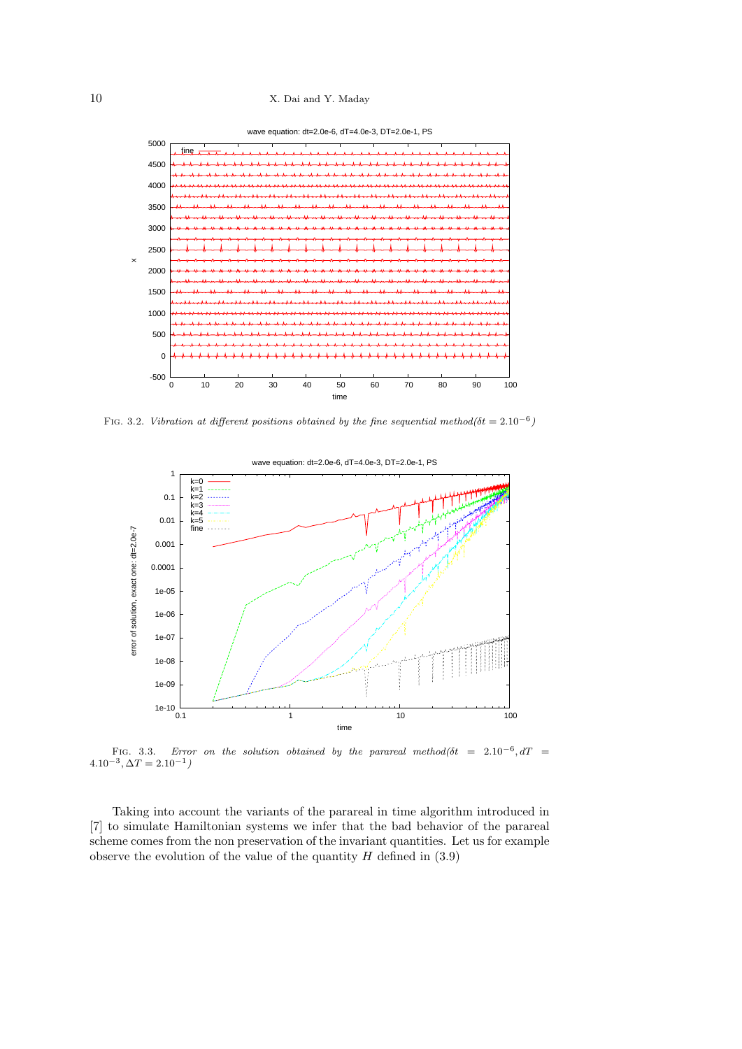10 X. Dai and Y. Maday





FIG. 3.2. *Vibration at different positions obtained by the fine sequential method(* $\delta t = 2.10^{-6}$ *)* 



FIG. 3.3. *Error on the solution obtained by the parareal method(* $\delta t = 2.10^{-6}, dT = 1.00$ *)*  $4.10^{-3}, \Delta T = 2.10^{-1}$ 

Taking into account the variants of the parareal in time algorithm introduced in [7] to simulate Hamiltonian systems we infer that the bad behavior of the parareal scheme comes from the non preservation of the invariant quantities. Let us for example observe the evolution of the value of the quantity  $H$  defined in  $(3.9)$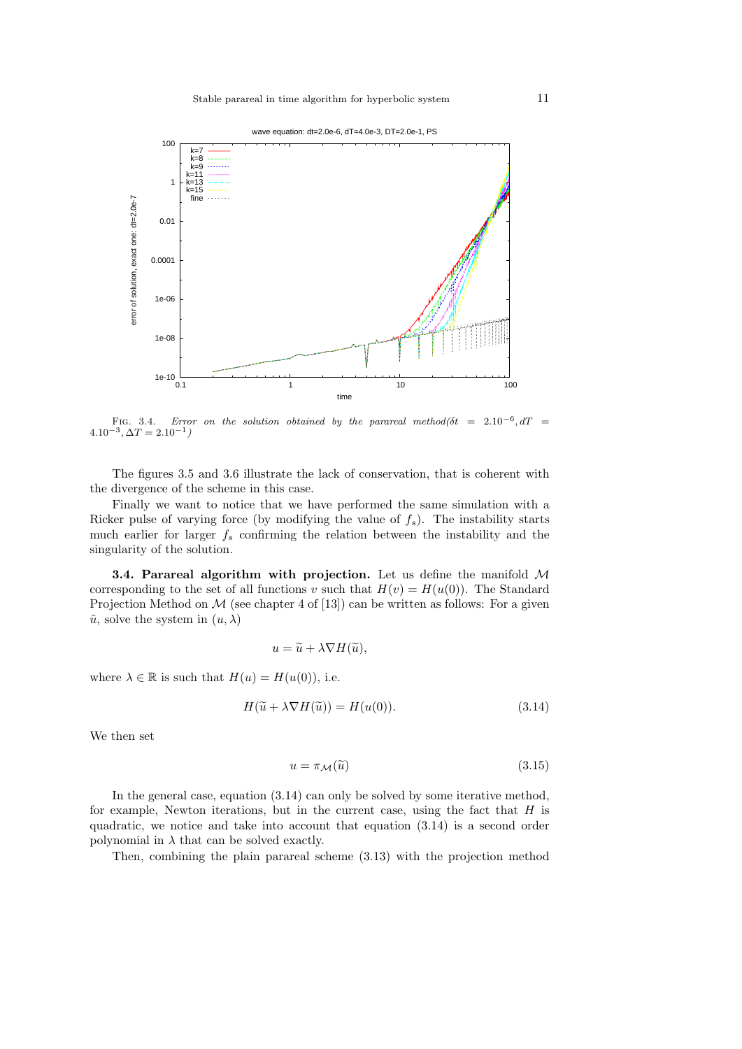



FIG. 3.4. *Error on the solution obtained by the parareal method(* $\delta t = 2.10^{-6}, dT = 1.00$ *)*  $4.10^{-3}, \Delta T = 2.10^{-1}$ 

The figures 3.5 and 3.6 illustrate the lack of conservation, that is coherent with the divergence of the scheme in this case.

Finally we want to notice that we have performed the same simulation with a Ricker pulse of varying force (by modifying the value of *fs*). The instability starts much earlier for larger *f<sup>s</sup>* confirming the relation between the instability and the singularity of the solution.

**3.4. Parareal algorithm with projection.** Let us define the manifold *M* corresponding to the set of all functions *v* such that  $H(v) = H(u(0))$ . The Standard Projection Method on  $M$  (see chapter 4 of [13]) can be written as follows: For a given  $\tilde{u}$ , solve the system in  $(u, \lambda)$ 

$$
u = \widetilde{u} + \lambda \nabla H(\widetilde{u}),
$$

where  $\lambda \in \mathbb{R}$  is such that  $H(u) = H(u(0))$ , i.e.

$$
H(\widetilde{u} + \lambda \nabla H(\widetilde{u})) = H(u(0)).
$$
\n(3.14)

We then set

$$
u = \pi_{\mathcal{M}}(\tilde{u})\tag{3.15}
$$

In the general case, equation (3.14) can only be solved by some iterative method, for example, Newton iterations, but in the current case, using the fact that *H* is quadratic, we notice and take into account that equation  $(3.14)$  is a second order polynomial in  $\lambda$  that can be solved exactly.

Then, combining the plain parareal scheme (3.13) with the projection method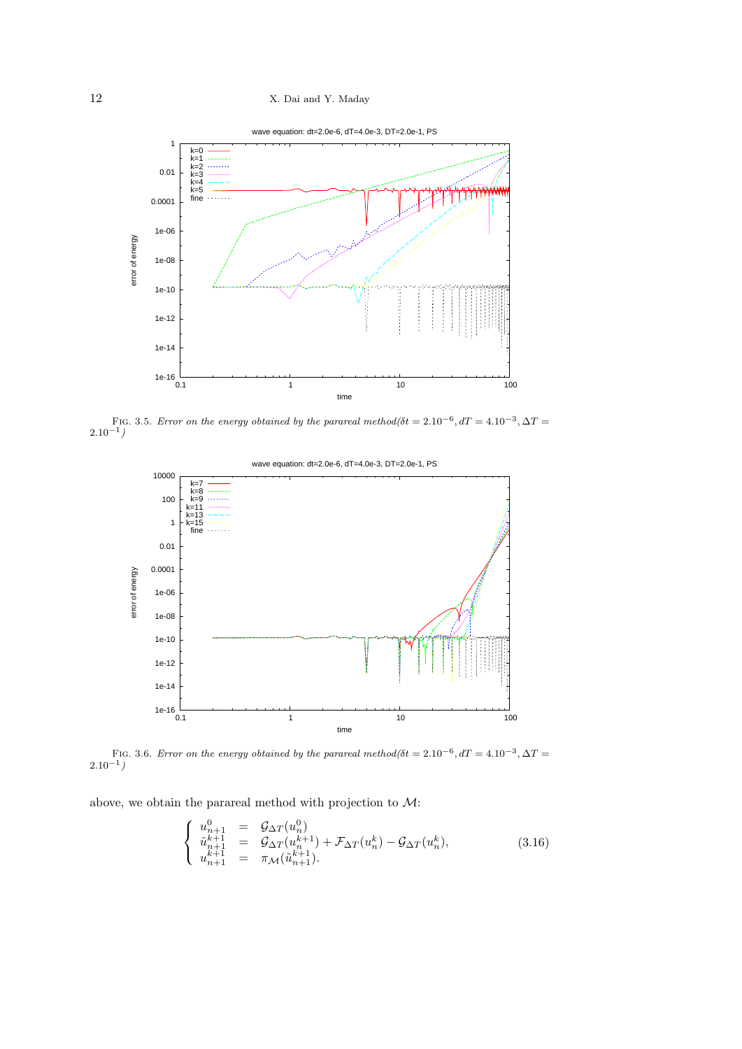

FIG. 3.5. *Error on the energy obtained by the parareal method(* $\delta t = 2.10^{-6}$ *,*  $dT = 4.10^{-3}$ *,*  $\Delta T =$ 2*.*10*−*<sup>1</sup> *)*



FIG. 3.6. *Error on the energy obtained by the parareal method(* $\delta t = 2.10^{-6}$ *,*  $dT = 4.10^{-3}$ *,*  $\Delta T =$ 2*.*10*−*<sup>1</sup> *)*

above, we obtain the parareal method with projection to *M*:

$$
\begin{cases}\n u_{n+1}^{0} = \mathcal{G}_{\Delta T}(u_n^0) \\
 \tilde{u}_{n+1}^{k+1} = \mathcal{G}_{\Delta T}(u_n^{k+1}) + \mathcal{F}_{\Delta T}(u_n^k) - \mathcal{G}_{\Delta T}(u_n^k), \\
 u_{n+1}^{k+1} = \pi_{\mathcal{M}}(\tilde{u}_{n+1}^{k+1}).\n\end{cases} (3.16)
$$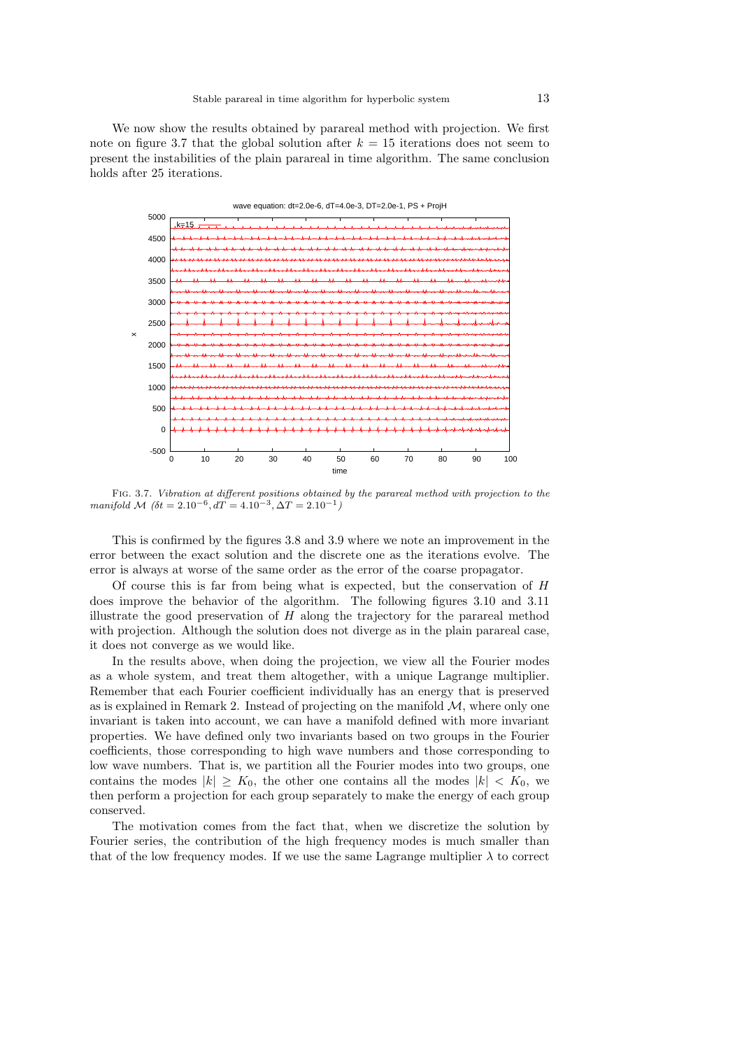We now show the results obtained by parareal method with projection. We first note on figure 3.7 that the global solution after  $k = 15$  iterations does not seem to present the instabilities of the plain parareal in time algorithm. The same conclusion holds after 25 iterations.



Fig. 3.7. *Vibration at different positions obtained by the parareal method with projection to the manifold M*  $(\delta t = 2.10^{-6}, dT = 4.10^{-3}, \Delta T = 2.10^{-1})$ 

This is confirmed by the figures 3.8 and 3.9 where we note an improvement in the error between the exact solution and the discrete one as the iterations evolve. The error is always at worse of the same order as the error of the coarse propagator.

Of course this is far from being what is expected, but the conservation of *H* does improve the behavior of the algorithm. The following figures 3.10 and 3.11 illustrate the good preservation of *H* along the trajectory for the parareal method with projection. Although the solution does not diverge as in the plain parareal case, it does not converge as we would like.

In the results above, when doing the projection, we view all the Fourier modes as a whole system, and treat them altogether, with a unique Lagrange multiplier. Remember that each Fourier coefficient individually has an energy that is preserved as is explained in Remark 2. Instead of projecting on the manifold *M*, where only one invariant is taken into account, we can have a manifold defined with more invariant properties. We have defined only two invariants based on two groups in the Fourier coefficients, those corresponding to high wave numbers and those corresponding to low wave numbers. That is, we partition all the Fourier modes into two groups, one contains the modes  $|k| \geq K_0$ , the other one contains all the modes  $|k| < K_0$ , we then perform a projection for each group separately to make the energy of each group conserved.

The motivation comes from the fact that, when we discretize the solution by Fourier series, the contribution of the high frequency modes is much smaller than that of the low frequency modes. If we use the same Lagrange multiplier  $\lambda$  to correct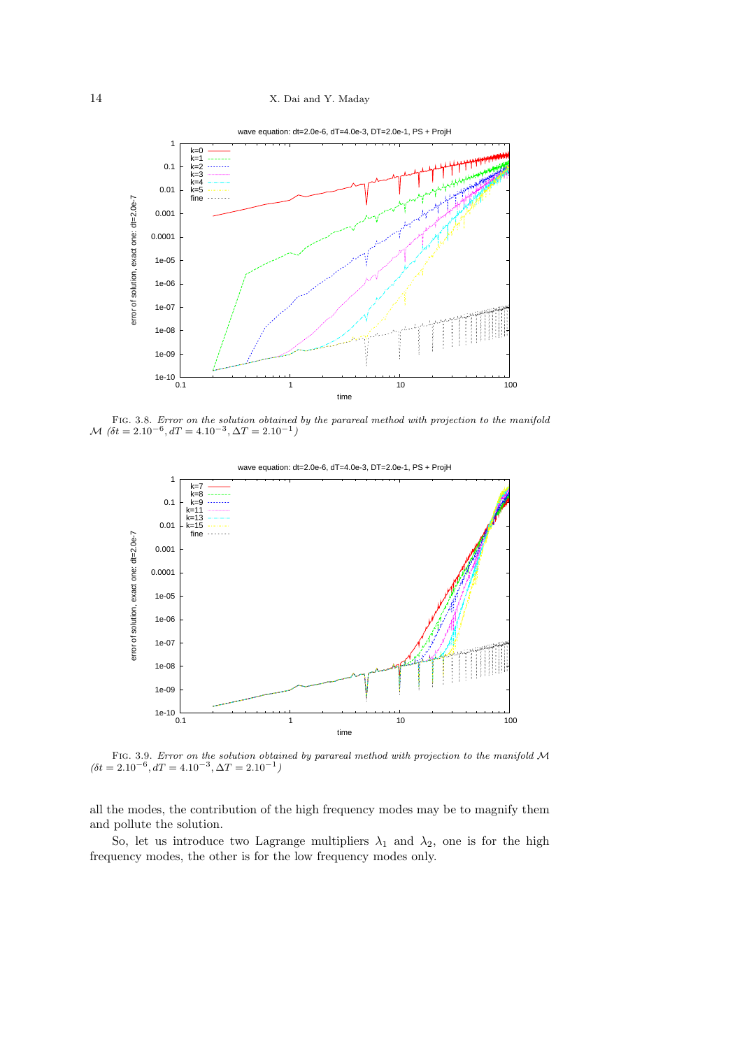

Fig. 3.8. *Error on the solution obtained by the parareal method with projection to the manifold M*  $(\delta t = 2.10^{-6}, dT = 4.10^{-3}, \Delta T = 2.10^{-1})$ 



Fig. 3.9. *Error on the solution obtained by parareal method with projection to the manifold <sup>M</sup>*  $(\delta t = 2.10^{-6}, dT = 4.10^{-3}, \Delta T = 2.10^{-1})$ 

all the modes, the contribution of the high frequency modes may be to magnify them and pollute the solution.

So, let us introduce two Lagrange multipliers  $\lambda_1$  and  $\lambda_2$ , one is for the high frequency modes, the other is for the low frequency modes only.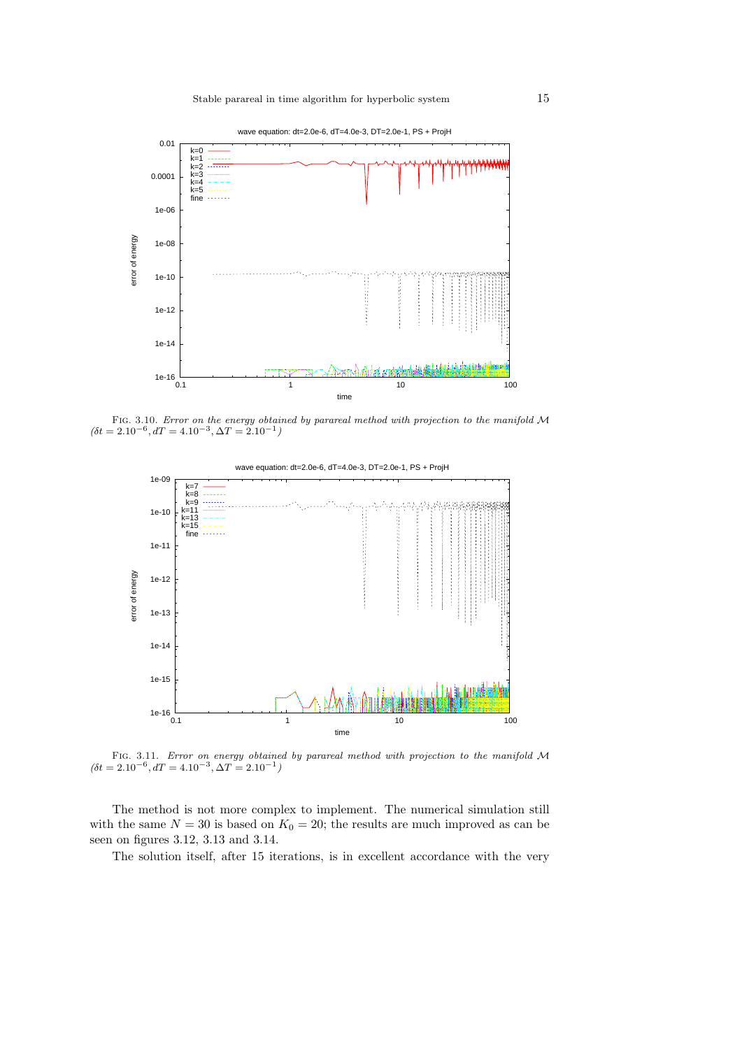

Fig. 3.10. *Error on the energy obtained by parareal method with projection to the manifold <sup>M</sup>*  $(\delta t = 2.10^{-6}, dT = 4.10^{-3}, \Delta T = 2.10^{-1})$ 



Fig. 3.11. *Error on energy obtained by parareal method with projection to the manifold <sup>M</sup>*  $(\delta t = 2.10^{-6}, dT = 4.10^{-3}, \Delta T = 2.10^{-1})$ 

The method is not more complex to implement. The numerical simulation still with the same  $N = 30$  is based on  $K_0 = 20$ ; the results are much improved as can be seen on figures 3.12, 3.13 and 3.14.

The solution itself, after 15 iterations, is in excellent accordance with the very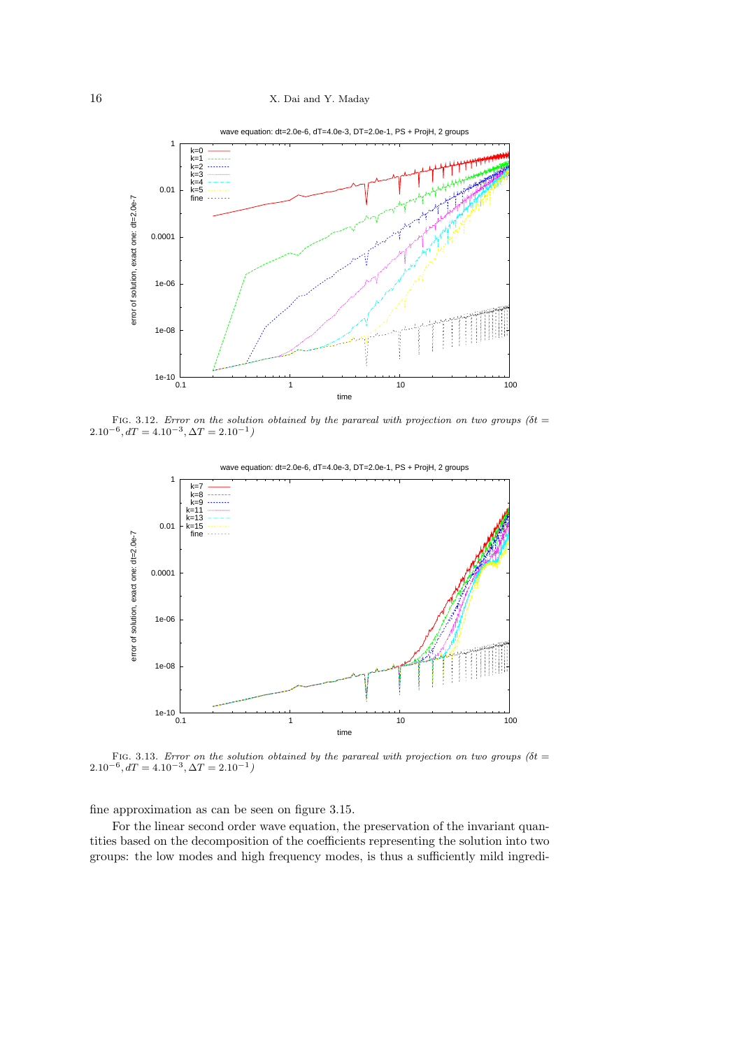

FIG. 3.12. *Error on the solution obtained by the parareal with projection on two groups* ( $\delta t =$  $2.10^{-6}$ ,  $dT = 4.10^{-3}$ ,  $\Delta T = 2.10^{-1}$ 



FIG. 3.13. *Error on the solution obtained by the parareal with projection on two groups (* $\delta t$  *=*  $2.10^{-6}$ ,  $dT = 4.10^{-3}$ ,  $\Delta T = 2.10^{-1}$ 

fine approximation as can be seen on figure 3.15.

For the linear second order wave equation, the preservation of the invariant quantities based on the decomposition of the coefficients representing the solution into two groups: the low modes and high frequency modes, is thus a sufficiently mild ingredi-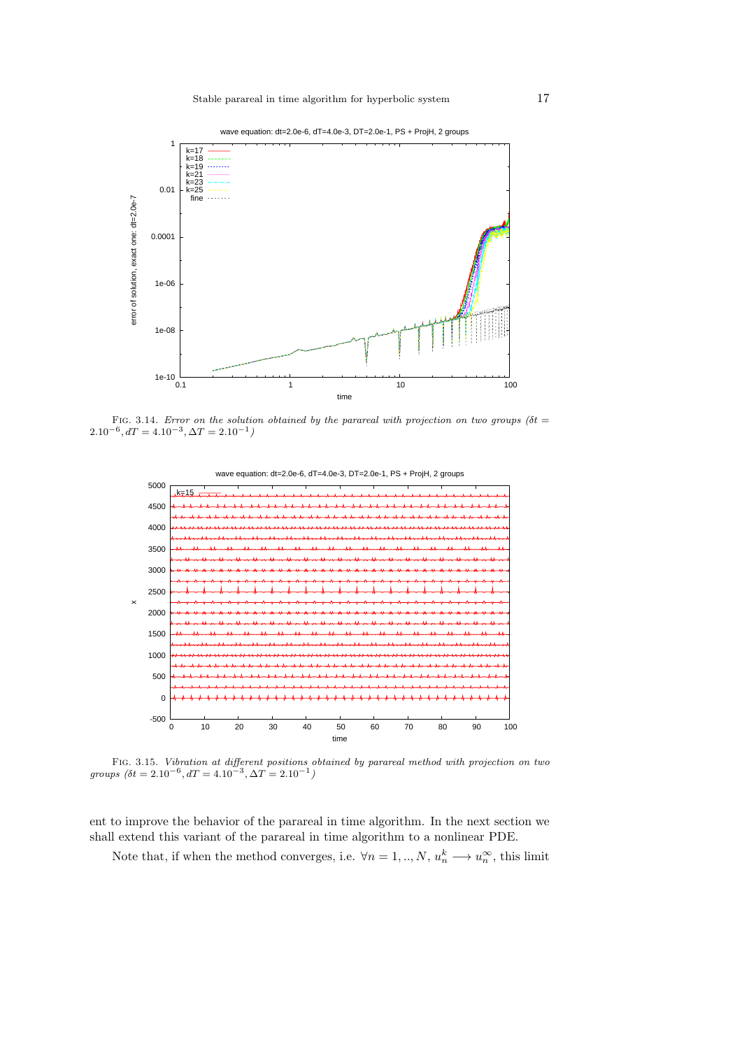



FIG. 3.14. *Error on the solution obtained by the parareal with projection on two groups* ( $\delta t =$  $2.10^{-6}$ ,  $dT = 4.10^{-3}$ ,  $\Delta T = 2.10^{-1}$ 

wave equation: dt=2.0e-6, dT=4.0e-3, DT=2.0e-1, PS + ProjH, 2 groups



Fig. 3.15. *Vibration at different positions obtained by parareal method with projection on two groups*  $(\delta t = 2.10^{-6}, dT = 4.10^{-3}, \Delta T = 2.10^{-1})$ 

ent to improve the behavior of the parareal in time algorithm. In the next section we shall extend this variant of the parareal in time algorithm to a nonlinear PDE.

Note that, if when the method converges, i.e.  $\forall n = 1, ..., N$ ,  $u_n^k \longrightarrow u_n^{\infty}$ , this limit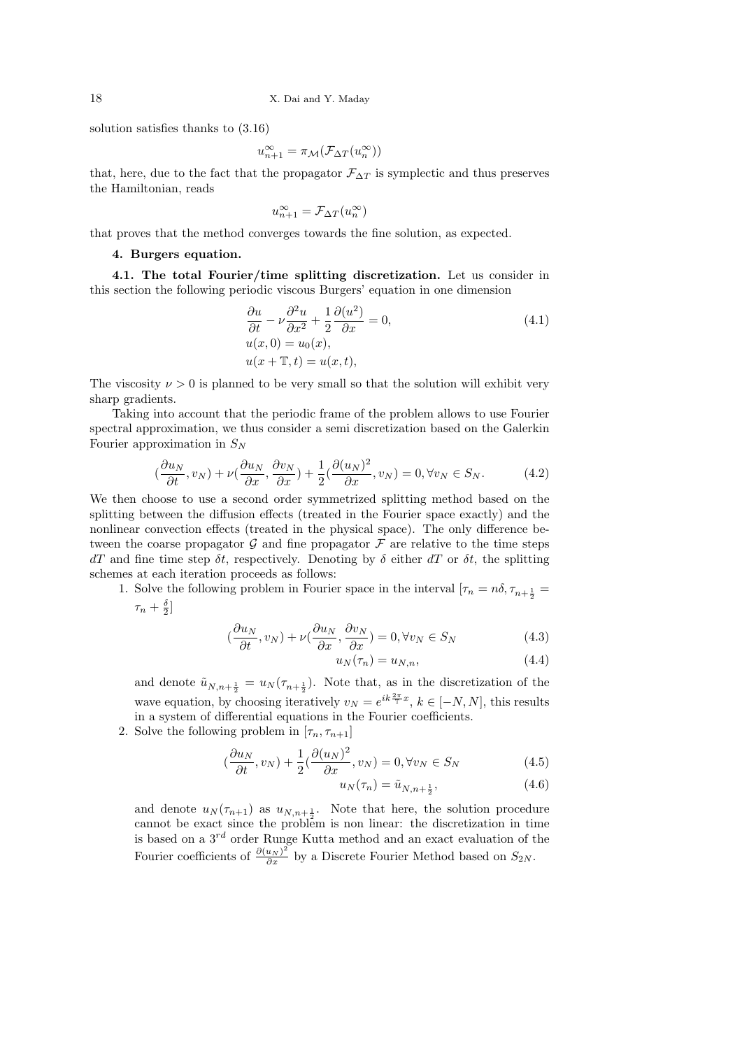solution satisfies thanks to (3.16)

$$
u_{n+1}^{\infty} = \pi_{\mathcal{M}}(\mathcal{F}_{\Delta T}(u_n^{\infty}))
$$

that, here, due to the fact that the propagator  $\mathcal{F}_{\Delta T}$  is symplectic and thus preserves the Hamiltonian, reads

$$
u^\infty_{n+1} = \mathcal{F}_{\Delta T}(u^\infty_n)
$$

that proves that the method converges towards the fine solution, as expected.

### **4. Burgers equation.**

**4.1. The total Fourier/time splitting discretization.** Let us consider in this section the following periodic viscous Burgers' equation in one dimension

$$
\frac{\partial u}{\partial t} - \nu \frac{\partial^2 u}{\partial x^2} + \frac{1}{2} \frac{\partial (u^2)}{\partial x} = 0,
$$
  
\n
$$
u(x, 0) = u_0(x),
$$
  
\n
$$
u(x + \mathbb{T}, t) = u(x, t),
$$
\n(4.1)

The viscosity  $\nu > 0$  is planned to be very small so that the solution will exhibit very sharp gradients.

Taking into account that the periodic frame of the problem allows to use Fourier spectral approximation, we thus consider a semi discretization based on the Galerkin Fourier approximation in *S<sup>N</sup>*

$$
\left(\frac{\partial u_N}{\partial t}, v_N\right) + \nu \left(\frac{\partial u_N}{\partial x}, \frac{\partial v_N}{\partial x}\right) + \frac{1}{2} \left(\frac{\partial (u_N)^2}{\partial x}, v_N\right) = 0, \forall v_N \in S_N.
$$
 (4.2)

We then choose to use a second order symmetrized splitting method based on the splitting between the diffusion effects (treated in the Fourier space exactly) and the nonlinear convection effects (treated in the physical space). The only difference between the coarse propagator  $\mathcal G$  and fine propagator  $\mathcal F$  are relative to the time steps *dT* and fine time step  $\delta t$ , respectively. Denoting by  $\delta$  either *dT* or  $\delta t$ , the splitting schemes at each iteration proceeds as follows:

1. Solve the following problem in Fourier space in the interval  $[\tau_n = n\delta, \tau_{n+\frac{1}{2}}]$  $\tau_n + \frac{\delta}{2}$ 

$$
\left(\frac{\partial u_N}{\partial t}, v_N\right) + \nu\left(\frac{\partial u_N}{\partial x}, \frac{\partial v_N}{\partial x}\right) = 0, \forall v_N \in S_N \tag{4.3}
$$

$$
u_N(\tau_n) = u_{N,n},\tag{4.4}
$$

and denote  $\tilde{u}_{N,n+\frac{1}{2}} = u_N(\tau_{n+\frac{1}{2}})$ . Note that, as in the discretization of the wave equation, by choosing iteratively  $v_N = e^{ik\frac{2\pi}{\pi}x}$ ,  $k \in [-N, N]$ , this results in a system of differential equations in the Fourier coefficients.

2. Solve the following problem in  $[\tau_n, \tau_{n+1}]$ 

$$
\left(\frac{\partial u_N}{\partial t}, v_N\right) + \frac{1}{2} \left(\frac{\partial (u_N)^2}{\partial x}, v_N\right) = 0, \forall v_N \in S_N \tag{4.5}
$$

$$
u_N(\tau_n) = \tilde{u}_{N,n+\frac{1}{2}},\tag{4.6}
$$

and denote  $u_N(\tau_{n+1})$  as  $u_{N,n+\frac{1}{2}}$ . Note that here, the solution procedure cannot be exact since the problem is non linear: the discretization in time is based on a  $3^{rd}$  order Runge Kutta method and an exact evaluation of the Fourier coefficients of  $\frac{\partial (u_N)^2}{\partial x}$  by a Discrete Fourier Method based on  $S_{2N}$ .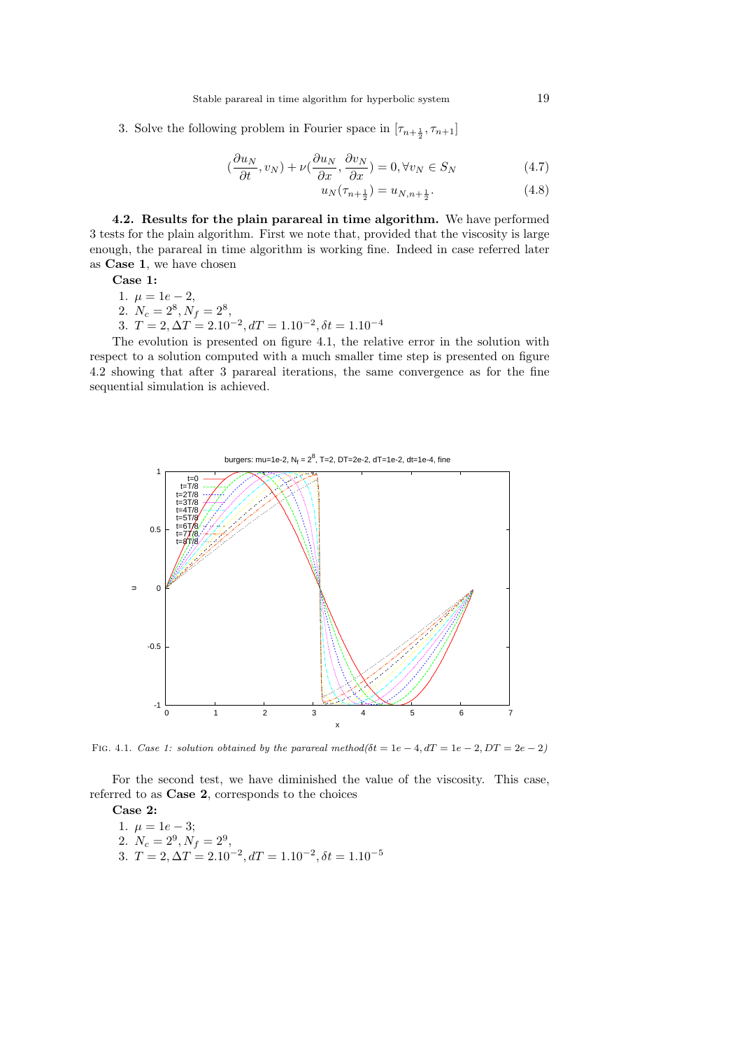3. Solve the following problem in Fourier space in  $[\tau_{n+\frac{1}{2}}, \tau_{n+1}]$ 

$$
\left(\frac{\partial u_N}{\partial t}, v_N\right) + \nu\left(\frac{\partial u_N}{\partial x}, \frac{\partial v_N}{\partial x}\right) = 0, \forall v_N \in S_N \tag{4.7}
$$

$$
u_N(\tau_{n+\frac{1}{2}}) = u_{N,n+\frac{1}{2}}.\t(4.8)
$$

**4.2. Results for the plain parareal in time algorithm.** We have performed 3 tests for the plain algorithm. First we note that, provided that the viscosity is large enough, the parareal in time algorithm is working fine. Indeed in case referred later as **Case 1**, we have chosen

**Case 1:**

- 1.  $\mu = 1e 2$ ,
- 2.  $N_c = 2^8, N_f = 2^8,$
- 3.  $T = 2, \Delta T = 2.10^{-2}, dT = 1.10^{-2}, \delta t = 1.10^{-4}$

The evolution is presented on figure 4.1, the relative error in the solution with respect to a solution computed with a much smaller time step is presented on figure 4.2 showing that after 3 parareal iterations, the same convergence as for the fine sequential simulation is achieved.



FIG. 4.1. *Case 1: solution obtained by the parareal method(* $\delta t = 1e - 4$ *,*  $dT = 1e - 2$ *,*  $DT = 2e - 2$ *)* 

For the second test, we have diminished the value of the viscosity. This case, referred to as **Case 2**, corresponds to the choices

**Case 2:** 1.  $\mu = 1e - 3;$ 2.  $N_c = 2^9, N_f = 2^9,$ 3.  $T = 2, \Delta T = 2.10^{-2}, dT = 1.10^{-2}, \delta t = 1.10^{-5}$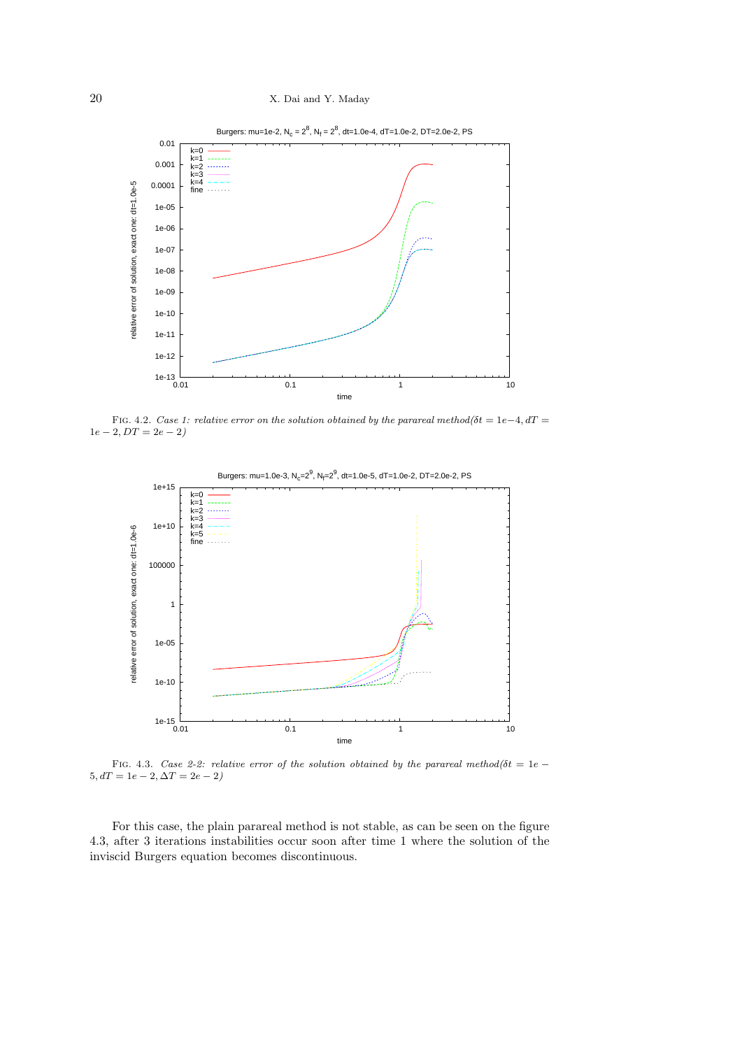

FIG. 4.2. *Case 1: relative error on the solution obtained by the parareal method(* $\delta t = 1e-4$ *,*  $dT =$  $1e - 2$ ,  $DT = 2e - 2$ 



FIG. 4.3. *Case 2-2: relative error of the solution obtained by the parareal method(* $\delta t = 1e$  *−*  $5, dT = 1e - 2, \Delta T = 2e - 2$ 

For this case, the plain parareal method is not stable, as can be seen on the figure 4.3, after 3 iterations instabilities occur soon after time 1 where the solution of the inviscid Burgers equation becomes discontinuous.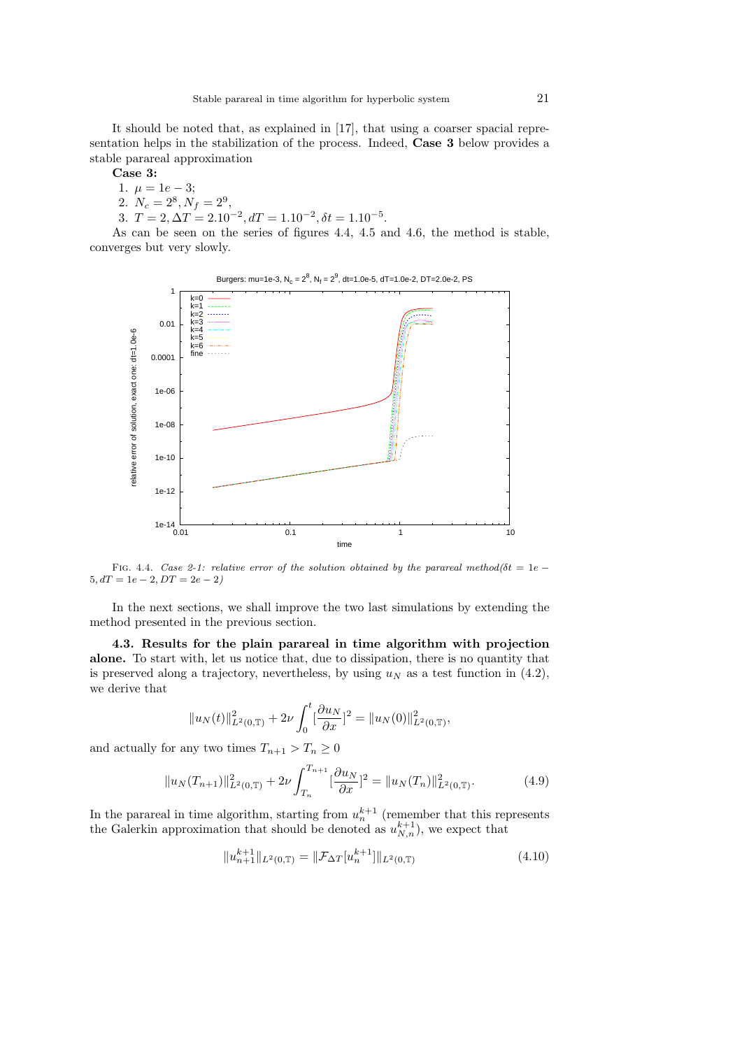It should be noted that, as explained in [17], that using a coarser spacial representation helps in the stabilization of the process. Indeed, **Case 3** below provides a stable parareal approximation

**Case 3:**

- 1.  $\mu = 1e 3;$
- 2.  $N_c = 2^8, N_f = 2^9,$
- 3.  $T = 2, \Delta T = 2.10^{-2}, dT = 1.10^{-2}, \delta t = 1.10^{-5}$ .

As can be seen on the series of figures 4.4, 4.5 and 4.6, the method is stable, converges but very slowly.



FIG. 4.4. *Case 2-1: relative error of the solution obtained by the parareal method(* $\delta t = 1e - \frac{1}{2}$  $5, dT = 1e - 2, DT = 2e - 2$ 

In the next sections, we shall improve the two last simulations by extending the method presented in the previous section.

**4.3. Results for the plain parareal in time algorithm with projection alone.** To start with, let us notice that, due to dissipation, there is no quantity that is preserved along a trajectory, nevertheless, by using  $u_N$  as a test function in  $(4.2)$ , we derive that

$$
||u_N(t)||_{L^2(0,T)}^2 + 2\nu \int_0^t \left[\frac{\partial u_N}{\partial x}\right]^2 = ||u_N(0)||_{L^2(0,T)}^2,
$$

and actually for any two times  $T_{n+1} > T_n \geq 0$ 

$$
||u_N(T_{n+1})||_{L^2(0,T)}^2 + 2\nu \int_{T_n}^{T_{n+1}} \left[\frac{\partial u_N}{\partial x}\right]^2 = ||u_N(T_n)||_{L^2(0,T)}^2.
$$
 (4.9)

In the parareal in time algorithm, starting from  $u_n^{k+1}$  (remember that this represents the Galerkin approximation that should be denoted as  $u_{N,n}^{k+1}$ , we expect that

$$
||u_{n+1}^{k+1}||_{L^{2}(0,T)} = ||\mathcal{F}_{\Delta T}[u_{n}^{k+1}]||_{L^{2}(0,T)}
$$
\n(4.10)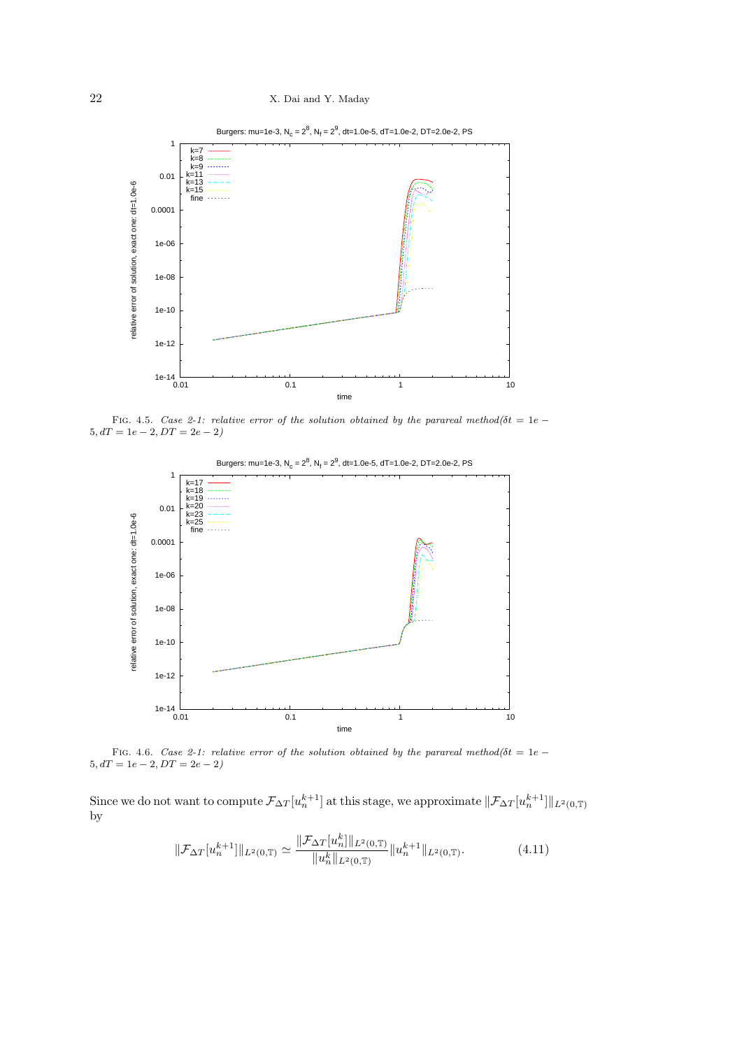# 22 X. Dai and Y. Maday



FIG. 4.5. *Case 2-1: relative error of the solution obtained by the parareal method(* $\delta t = 1e - \frac{1}{2}$  $5, dT = 1e - 2, DT = 2e - 2$ 



Fig. 4.6. *Case 2-1: relative error of the solution obtained by the parareal method(δt* = 1*<sup>e</sup> <sup>−</sup>*  $5, dT = 1e - 2, DT = 2e - 2$ 

Since we do not want to compute  $\mathcal{F}_{\Delta T}[u_n^{k+1}]$  at this stage, we approximate  $\|\mathcal{F}_{\Delta T}[u_n^{k+1}]\|_{L^2(0,T)}$ by

$$
\|\mathcal{F}_{\Delta T}[u_n^{k+1}]\|_{L^2(0,\mathbb{T})} \simeq \frac{\|\mathcal{F}_{\Delta T}[u_n^k]\|_{L^2(0,\mathbb{T})}}{\|u_n^k\|_{L^2(0,\mathbb{T})}} \|u_n^{k+1}\|_{L^2(0,\mathbb{T})}.
$$
 (4.11)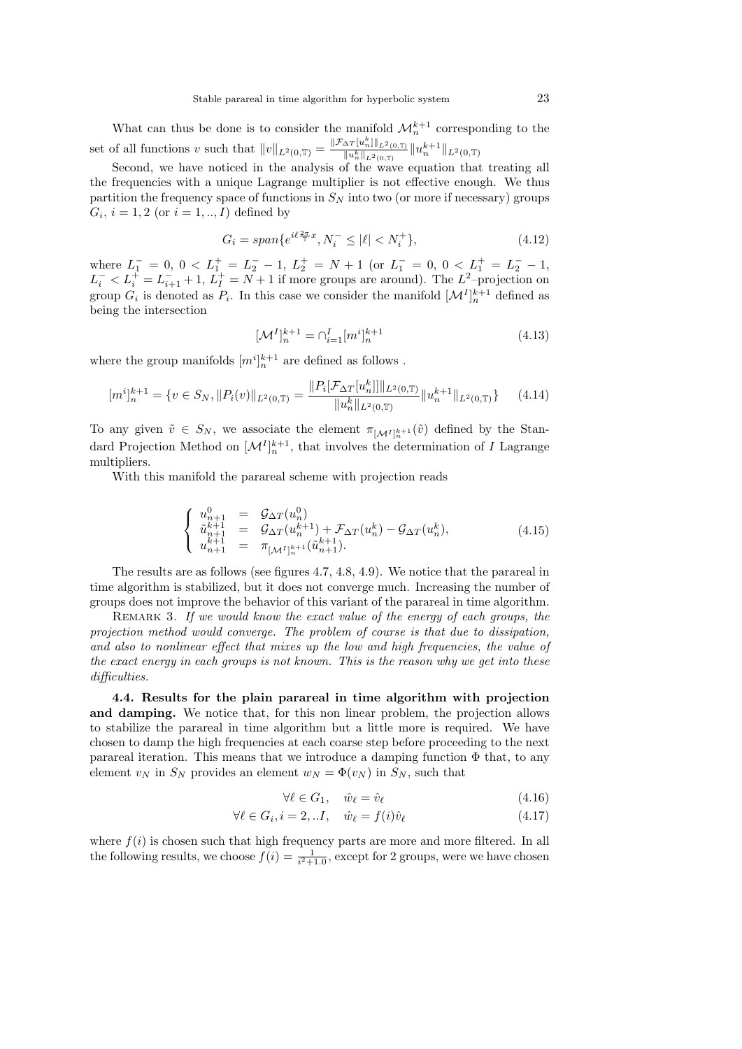What can thus be done is to consider the manifold  $\mathcal{M}_n^{k+1}$  corresponding to the set of all functions *v* such that  $||v||_{L^2(0,T)} = \frac{||\mathcal{F}_{\Delta T}[u_n^k]||_{L^2(0,T)}}{||u_n^k||_{L^2(0,T)}}$  $\frac{\Delta T \left[ u_n \right] \parallel_L^2(0,T)}{\| u_n^k \|_{L^2(0,T)}} \| u_n^{k+1} \|_{L^2(0,T)}$ 

Second, we have noticed in the analysis of the wave equation that treating all the frequencies with a unique Lagrange multiplier is not effective enough. We thus partition the frequency space of functions in  $S_N$  into two (or more if necessary) groups  $G_i, i = 1, 2 \text{ (or } i = 1, ..., I) \text{ defined by}$ 

$$
G_i = span\{e^{i\ell \frac{2\pi}{\mathbb{T}}x}, N_i^- \le |\ell| < N_i^+\},\tag{4.12}
$$

where  $L_1^- = 0$ ,  $0 < L_1^+ = L_2^- - 1$ ,  $L_2^+ = N + 1$  (or  $L_1^- = 0$ ,  $0 < L_1^+ = L_2^- - 1$ ,  $L_i^-$  <  $L_i^+$  =  $L_{i+1}^-$  + 1,  $L_I^+$  =  $N+1$  if more groups are around). The *L*<sup>2</sup>–projection on group  $G_i$  is denoted as  $P_i$ . In this case we consider the manifold  $[\mathcal{M}^I]_n^{k+1}$  defined as being the intersection

$$
[\mathcal{M}^I]_n^{k+1} = \bigcap_{i=1}^I [m^i]_n^{k+1}
$$
\n(4.13)

where the group manifolds  $[m^i]_n^{k+1}$  are defined as follows .

$$
[m^i]_n^{k+1} = \{ v \in S_N, \|P_i(v)\|_{L^2(0,T)} = \frac{\|P_i[\mathcal{F}_{\Delta T}[u_n^k]]\|_{L^2(0,T)}}{\|u_n^k\|_{L^2(0,T)}} \|u_n^{k+1}\|_{L^2(0,T)} \}
$$
(4.14)

To any given  $\tilde{v} \in S_N$ , we associate the element  $\pi_{\lfloor M^I\rfloor_n^{k+1}}(\tilde{v})$  defined by the Standard Projection Method on  $[\mathcal{M}^I]_n^{k+1}$ , that involves the determination of *I* Lagrange multipliers.

With this manifold the parareal scheme with projection reads

$$
\begin{cases}\nu_{n+1}^{0} = \mathcal{G}_{\Delta T}(u_{n}^{0}) \\
\tilde{u}_{n+1}^{k+1} = \mathcal{G}_{\Delta T}(u_{n}^{k+1}) + \mathcal{F}_{\Delta T}(u_{n}^{k}) - \mathcal{G}_{\Delta T}(u_{n}^{k}), \\
u_{n+1}^{k+1} = \pi_{[\mathcal{M}^{I}]_{n}^{k+1}}(\tilde{u}_{n+1}^{k+1}).\n\end{cases} (4.15)
$$

*k*

The results are as follows (see figures 4.7, 4.8, 4.9). We notice that the parareal in time algorithm is stabilized, but it does not converge much. Increasing the number of groups does not improve the behavior of this variant of the parareal in time algorithm.

REMARK 3. If we would know the exact value of the energy of each groups, the *projection method would converge. The problem of course is that due to dissipation, and also to nonlinear effect that mixes up the low and high frequencies, the value of the exact energy in each groups is not known. This is the reason why we get into these difficulties.*

**4.4. Results for the plain parareal in time algorithm with projection and damping.** We notice that, for this non linear problem, the projection allows to stabilize the parareal in time algorithm but a little more is required. We have chosen to damp the high frequencies at each coarse step before proceeding to the next parareal iteration. This means that we introduce a damping function  $\Phi$  that, to any element  $v_N$  in  $S_N$  provides an element  $w_N = \Phi(v_N)$  in  $S_N$ , such that

$$
\forall \ell \in G_1, \quad \hat{w}_{\ell} = \hat{v}_{\ell} \tag{4.16}
$$

$$
\forall \ell \in G_i, i = 2, \dots I, \quad \hat{w}_{\ell} = f(i)\hat{v}_{\ell} \tag{4.17}
$$

where  $f(i)$  is chosen such that high frequency parts are more and more filtered. In all the following results, we choose  $f(i) = \frac{1}{i^2+1.0}$ , except for 2 groups, were we have chosen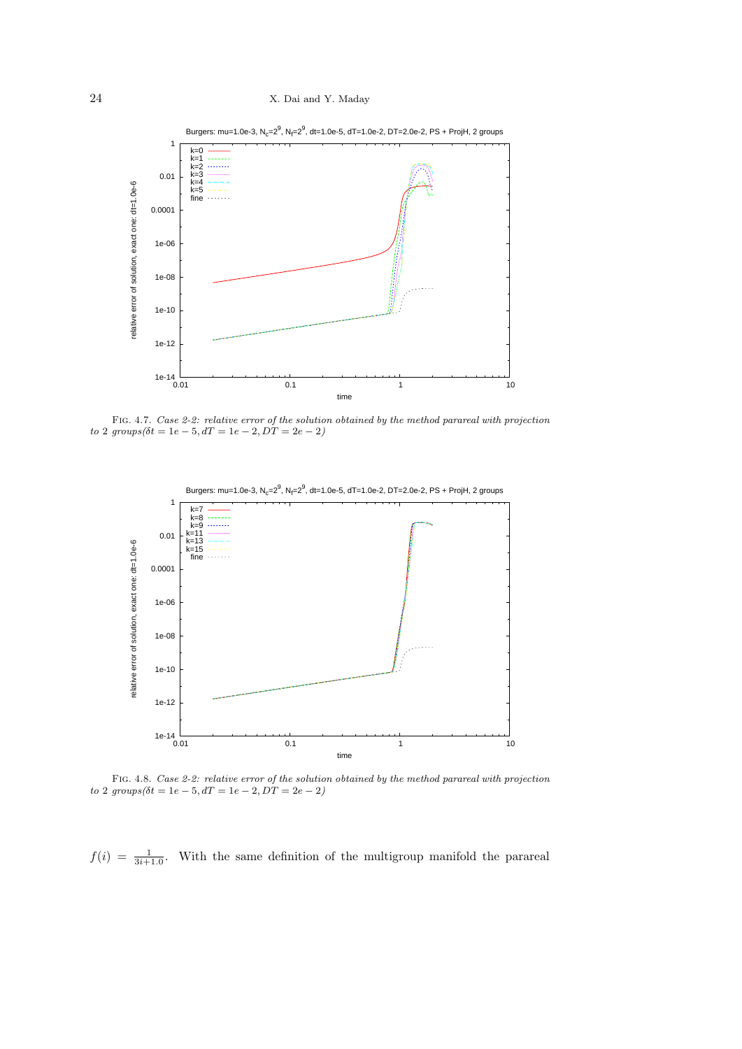

Burgers: mu=1.0e-3, N<sub>c</sub>=2<sup>9</sup>, N<sub>f</sub>=2<sup>9</sup>, dt=1.0e-5, dT=1.0e-2, DT=2.0e-2, PS + ProjH, 2 groups

Fig. 4.7. *Case 2-2: relative error of the solution obtained by the method parareal with projection*  $to$  2  $groups(\delta t = 1e - 5, dT = 1e - 2, DT = 2e - 2)$ 



Fig. 4.8. *Case 2-2: relative error of the solution obtained by the method parareal with projection*  $to 2 \, groups(\delta t = 1e - 5, dT = 1e - 2, D\dot{T} = 2e - 2)$ 

 $f(i) = \frac{1}{3i+1.0}$ . With the same definition of the multigroup manifold the parareal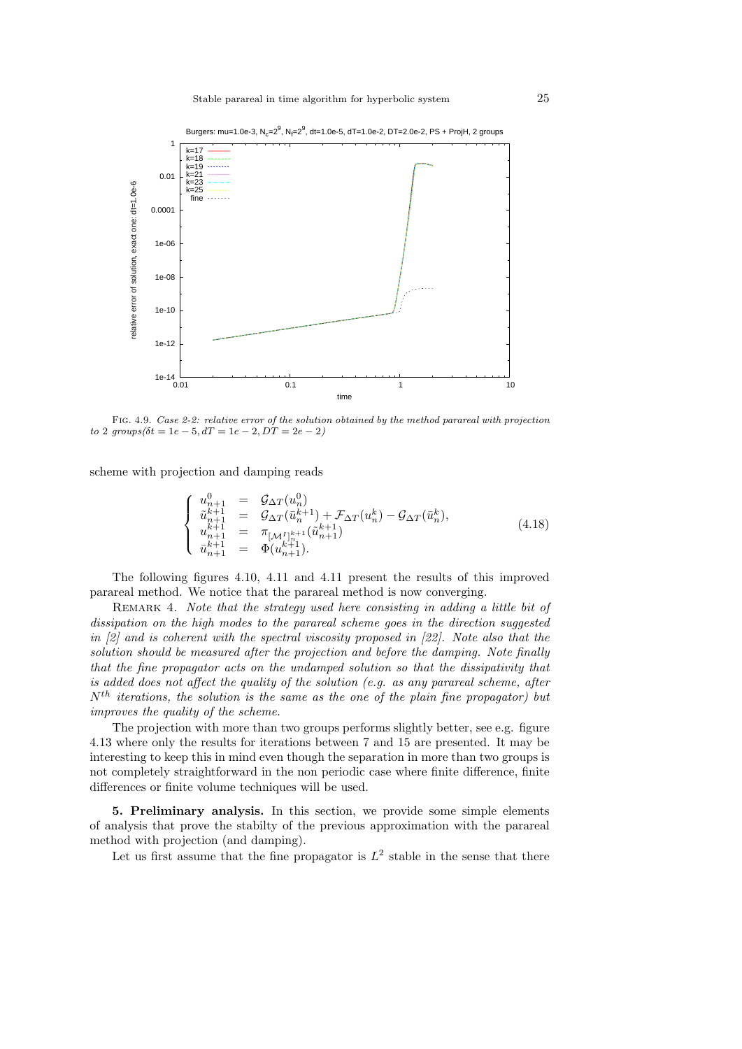



Fig. 4.9. *Case 2-2: relative error of the solution obtained by the method parareal with projection*  $to 2 \, groups(\delta t = 1e - 5, dT = 1e - 2, DT = 2e - 2)$ 

scheme with projection and damping reads

$$
\begin{cases}\n u_{n+1}^{0} = \mathcal{G}_{\Delta T}(u_n^0) \\
 \tilde{u}_{n+1}^{k+1} = \mathcal{G}_{\Delta T}(\bar{u}_n^{k+1}) + \mathcal{F}_{\Delta T}(u_n^k) - \mathcal{G}_{\Delta T}(\bar{u}_n^k), \\
 u_{n+1}^{k+1} = \pi_{\left[\mathcal{M}_1\right]_n^{k+1}}(\tilde{u}_{n+1}^{k+1}) \\
 \bar{u}_{n+1}^{k+1} = \Phi(u_{n+1}^{k+1}).\n\end{cases} (4.18)
$$

The following figures 4.10, 4.11 and 4.11 present the results of this improved parareal method. We notice that the parareal method is now converging.

Remark 4. *Note that the strategy used here consisting in adding a little bit of dissipation on the high modes to the parareal scheme goes in the direction suggested in [2] and is coherent with the spectral viscosity proposed in [22]. Note also that the solution should be measured after the projection and before the damping. Note finally that the fine propagator acts on the undamped solution so that the dissipativity that is added does not affect the quality of the solution (e.g. as any parareal scheme, after Nth iterations, the solution is the same as the one of the plain fine propagator) but improves the quality of the scheme.*

The projection with more than two groups performs slightly better, see e.g. figure 4.13 where only the results for iterations between 7 and 15 are presented. It may be interesting to keep this in mind even though the separation in more than two groups is not completely straightforward in the non periodic case where finite difference, finite differences or finite volume techniques will be used.

**5. Preliminary analysis.** In this section, we provide some simple elements of analysis that prove the stabilty of the previous approximation with the parareal method with projection (and damping).

Let us first assume that the fine propagator is  $L^2$  stable in the sense that there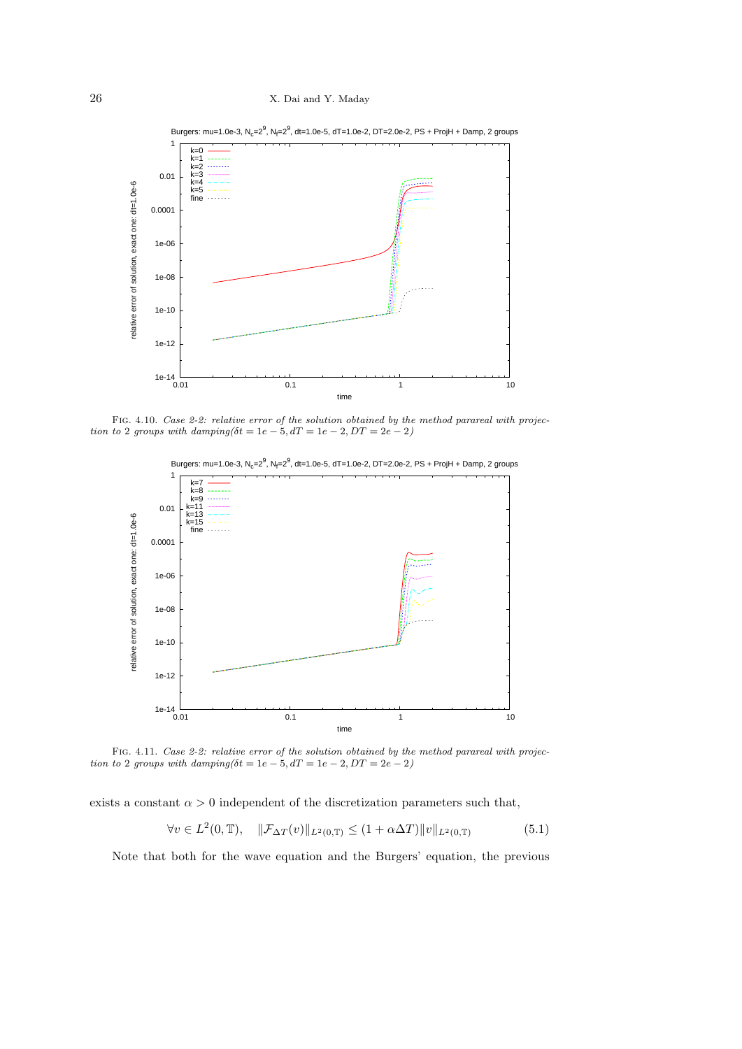

Fig. 4.10. *Case 2-2: relative error of the solution obtained by the method parareal with projection to* 2 *groups with damping*( $\delta t = 1e - 5$ ,  $dT = 1e - 2$ ,  $DT = 2e - 2$ )



Burgers: mu=1.0e-3,  $N_c = 2^9$ ,  $N_f = 2^9$ , dt=1.0e-5, dT=1.0e-2, DT=2.0e-2, PS + ProjH + Damp, 2 groups

Fig. 4.11. *Case 2-2: relative error of the solution obtained by the method parareal with projection to* 2 *groups with damping* $(\delta t = 1e - 5, dT = 1e - 2, DT = 2e - 2)$ 

exists a constant  $\alpha > 0$  independent of the discretization parameters such that,

$$
\forall v \in L^{2}(0, \mathbb{T}), \quad \|\mathcal{F}_{\Delta T}(v)\|_{L^{2}(0, \mathbb{T})} \le (1 + \alpha \Delta T) \|v\|_{L^{2}(0, \mathbb{T})}
$$
(5.1)

Note that both for the wave equation and the Burgers' equation, the previous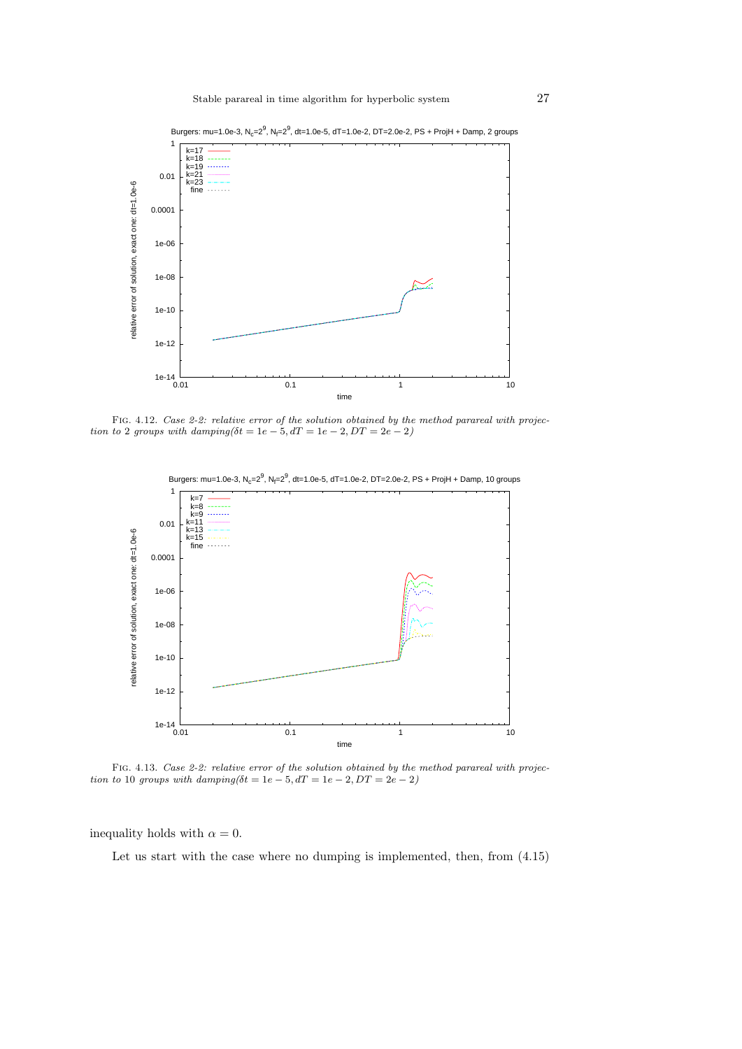

Fig. 4.12. *Case 2-2: relative error of the solution obtained by the method parareal with projection to* 2 *groups with damping* $(\delta t = 1e - 5, dT = 1e - 2, DT = 2e - 2)$ 



Fig. 4.13. *Case 2-2: relative error of the solution obtained by the method parareal with projection to* 10 *groups with damping*( $\delta t = 1e - 5$ ,  $dT = 1e - 2$ ,  $DT = 2e - 2$ )

inequality holds with  $\alpha = 0$ .

Let us start with the case where no dumping is implemented, then, from  $(4.15)$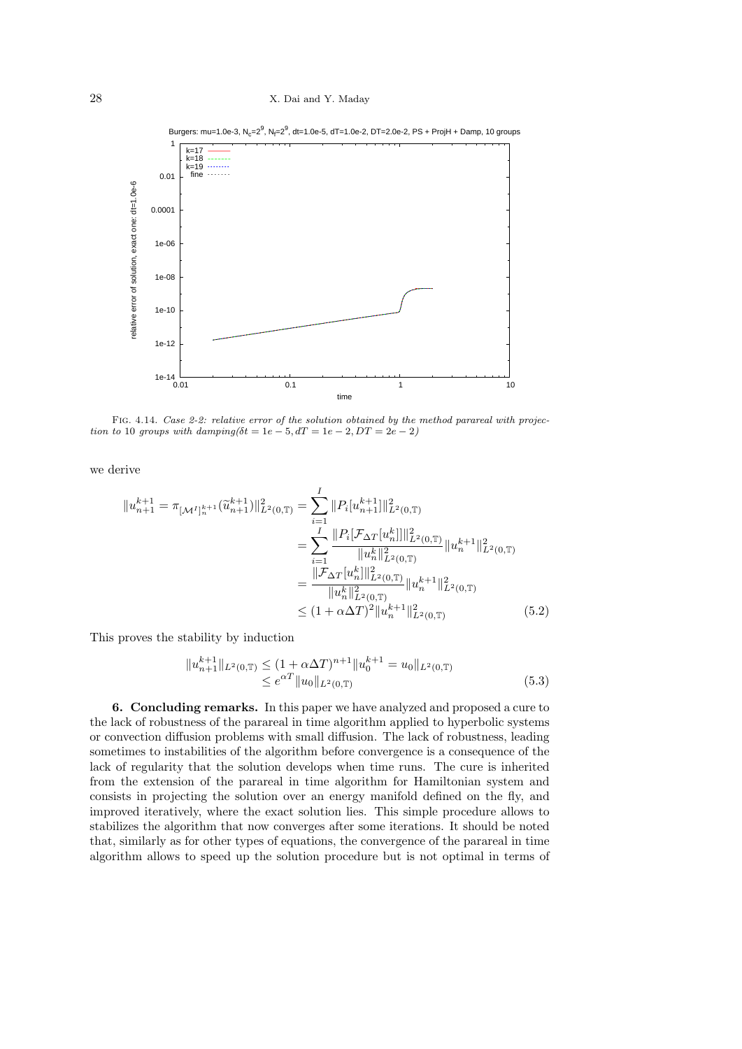

Burgers: mu=1.0e-3, N<sub>c</sub>=2<sup>9</sup>, N<sub>f</sub>=2<sup>9</sup>, dt=1.0e-5, dT=1.0e-2, DT=2.0e-2, PS + ProjH + Damp, 10 groups

Fig. 4.14. *Case 2-2: relative error of the solution obtained by the method parareal with projection to* 10 *groups with damping*( $\delta t = 1e - 5$ ,  $dT = 1e - 2$ ,  $DT = 2e - 2$ )

we derive

$$
||u_{n+1}^{k+1} = \pi_{[\mathcal{M}^I]_n^{k+1}}(\widetilde{u}_{n+1}^{k+1})||_{L^2(0,\mathbb{T})}^2 = \sum_{i=1}^I ||P_i[u_{n+1}^{k+1}]||_{L^2(0,\mathbb{T})}^2
$$
  
\n
$$
= \sum_{i=1}^I \frac{||P_i[\mathcal{F}_{\Delta T}[u_n^k]]||_{L^2(0,\mathbb{T})}^2}{||u_n^k||_{L^2(0,\mathbb{T})}^2} ||u_n^{k+1}||_{L^2(0,\mathbb{T})}^2
$$
  
\n
$$
= \frac{||\mathcal{F}_{\Delta T}[u_n^k]||_{L^2(0,\mathbb{T})}^2}{||u_n^k||_{L^2(0,\mathbb{T})}^2} ||u_n^{k+1}||_{L^2(0,\mathbb{T})}^2
$$
  
\n
$$
\leq (1 + \alpha \Delta T)^2 ||u_n^{k+1}||_{L^2(0,\mathbb{T})}^2 \qquad (5.2)
$$

This proves the stability by induction

$$
||u_{n+1}^{k+1}||_{L^{2}(0,T)} \leq (1+\alpha \Delta T)^{n+1}||u_{0}^{k+1} = u_{0}||_{L^{2}(0,T)}
$$
  
 
$$
\leq e^{\alpha T}||u_{0}||_{L^{2}(0,T)}
$$
 (5.3)

**6. Concluding remarks.** In this paper we have analyzed and proposed a cure to the lack of robustness of the parareal in time algorithm applied to hyperbolic systems or convection diffusion problems with small diffusion. The lack of robustness, leading sometimes to instabilities of the algorithm before convergence is a consequence of the lack of regularity that the solution develops when time runs. The cure is inherited from the extension of the parareal in time algorithm for Hamiltonian system and consists in projecting the solution over an energy manifold defined on the fly, and improved iteratively, where the exact solution lies. This simple procedure allows to stabilizes the algorithm that now converges after some iterations. It should be noted that, similarly as for other types of equations, the convergence of the parareal in time algorithm allows to speed up the solution procedure but is not optimal in terms of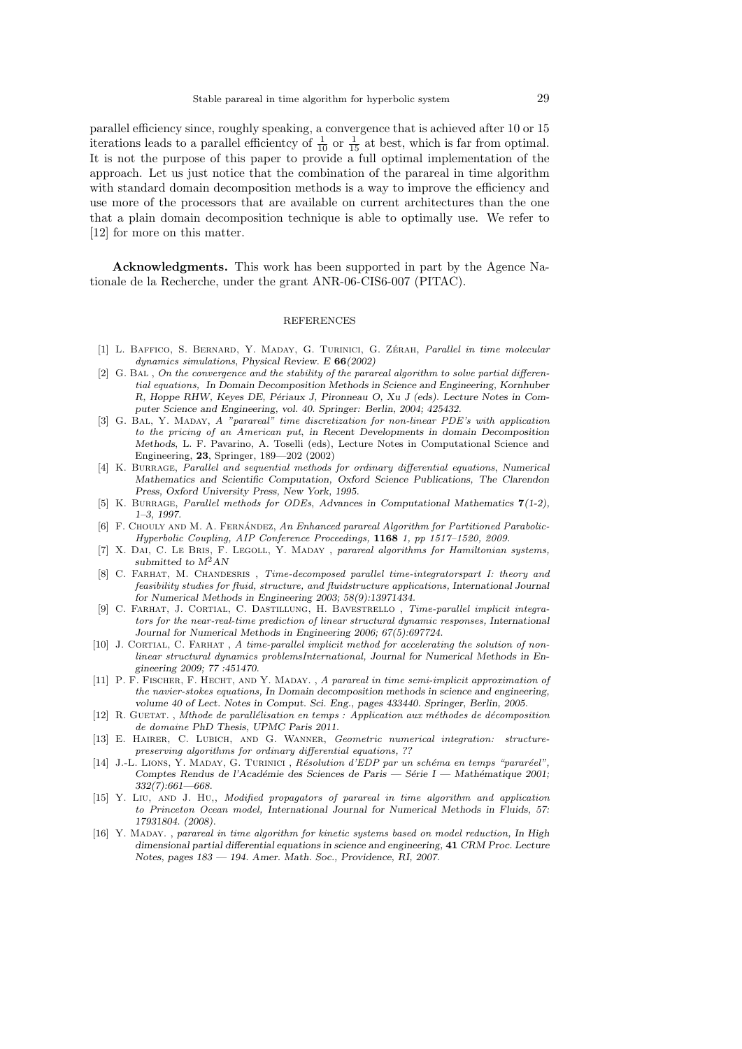parallel efficiency since, roughly speaking, a convergence that is achieved after 10 or 15 iterations leads to a parallel efficientcy of  $\frac{1}{10}$  or  $\frac{1}{15}$  at best, which is far from optimal. It is not the purpose of this paper to provide a full optimal implementation of the approach. Let us just notice that the combination of the parareal in time algorithm with standard domain decomposition methods is a way to improve the efficiency and use more of the processors that are available on current architectures than the one that a plain domain decomposition technique is able to optimally use. We refer to [12] for more on this matter.

**Acknowledgments.** This work has been supported in part by the Agence Nationale de la Recherche, under the grant ANR-06-CIS6-007 (PITAC).

#### REFERENCES

- [1] L. Baffico, S. Bernard, Y. Maday, G. Turinici, G. Zerah ´ , *Parallel in time molecular dynamics simulations*, *Physical Review. E* **66***(2002)*
- [2] G. Bal , *On the convergence and the stability of the parareal algorithm to solve partial differential equations, In Domain Decomposition Methods in Science and Engineering, Kornhuber* R, Hoppe RHW, Keyes DE, Périaux J, Pironneau O, Xu J (eds). Lecture Notes in Com*puter Science and Engineering, vol. 40. Springer: Berlin, 2004; 425432.*
- [3] G. Bal, Y. Maday, *A "parareal" time discretization for non-linear PDE's with application to the pricing of an American put*, *in Recent Developments in domain Decomposition Methods*, L. F. Pavarino, A. Toselli (eds), Lecture Notes in Computational Science and Engineering, **23**, Springer, 189—202 (2002)
- [4] K. Burrage, *Parallel and sequential methods for ordinary differential equations*, *Numerical Mathematics and Scientific Computation, Oxford Science Publications, The Clarendon Press, Oxford University Press, New York, 1995.*
- [5] K. Burrage, *Parallel methods for ODEs*, *Advances in Computational Mathematics* **7***(1-2), 1–3, 1997.*
- [6] F. CHOULY AND M. A. FERNÁNDEZ, An Enhanced parareal Algorithm for Partitioned Parabolic-*Hyperbolic Coupling, AIP Conference Proceedings,* **1168** *1, pp 1517–1520, 2009.*
- [7] X. Dai, C. Le Bris, F. Legoll, Y. Maday , *parareal algorithms for Hamiltonian systems, submitted to M*2*AN*
- [8] C. Farhat, M. Chandesris , *Time-decomposed parallel time-integratorspart I: theory and feasibility studies for fluid, structure, and fluidstructure applications, International Journal for Numerical Methods in Engineering 2003; 58(9):13971434.*
- [9] C. Farhat, J. Cortial, C. Dastillung, H. Bavestrello , *Time-parallel implicit integrators for the near-real-time prediction of linear structural dynamic responses, International Journal for Numerical Methods in Engineering 2006; 67(5):697724.*
- [10] J. CORTIAL, C. FARHAT, *A time-parallel implicit method for accelerating the solution of nonlinear structural dynamics problemsInternational, Journal for Numerical Methods in En-*
- *gineering 2009; 77 :451470.* [11] P. F. Fischer, F. Hecht, and Y. Maday. , *A parareal in time semi-implicit approximation of the navier-stokes equations, In Domain decomposition methods in science and engineering, volume 40 of Lect. Notes in Comput. Sci. Eng., pages 433440. Springer, Berlin, 2005.*
- [12] R. GUETAT., *Mthode de parallélisation en temps : Application aux méthodes de décomposition de domaine PhD Thesis, UPMC Paris 2011.*
- [13] E. Hairer, C. Lubich, and G. Wanner, *Geometric numerical integration: structurepreserving algorithms for ordinary differential equations, ??*
- [14] J.-L. Lions, Y. Maday, G. Turinici , *R´esolution d'EDP par un sch´ema en temps "parar´eel", Comptes Rendus de l'Académie des Sciences de Paris — Série I — Mathématique 2001; 332(7):661—668.*
- [15] Y. Liu, and J. Hu,, *Modified propagators of parareal in time algorithm and application to Princeton Ocean model, International Journal for Numerical Methods in Fluids, 57: 17931804. (2008).*
- [16] Y. Maday. , *parareal in time algorithm for kinetic systems based on model reduction, In High dimensional partial differential equations in science and engineering,* **41** *CRM Proc. Lecture Notes, pages 183 — 194. Amer. Math. Soc., Providence, RI, 2007.*